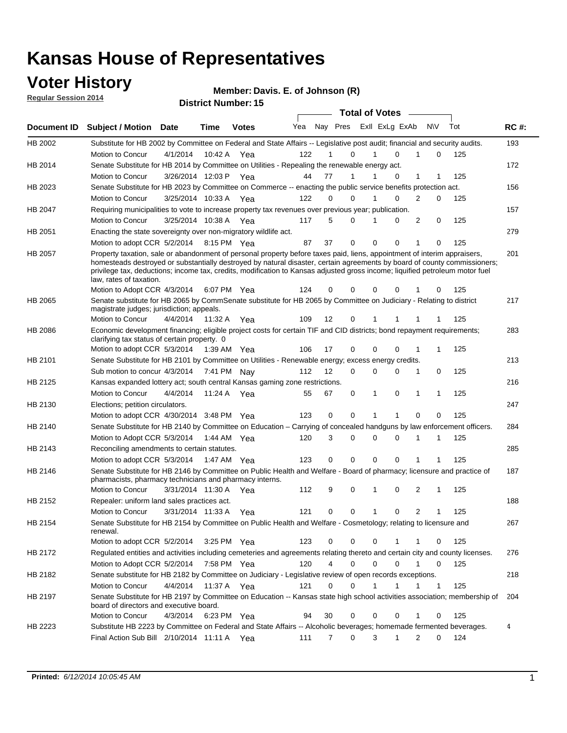### **Voter History**

**Regular Session 2014**

**Member: Davis. E. of Johnson (R)** 

| <b>District Number: 15</b> |  |
|----------------------------|--|

|                |                                                                                                                                                                                                                                                                                                                                                                                                                                                              |                       |             | <b>DISUILLINUIIINGI. IJ</b> |     |             |                     | <b>Total of Votes</b> |                |                             |     |     |             |
|----------------|--------------------------------------------------------------------------------------------------------------------------------------------------------------------------------------------------------------------------------------------------------------------------------------------------------------------------------------------------------------------------------------------------------------------------------------------------------------|-----------------------|-------------|-----------------------------|-----|-------------|---------------------|-----------------------|----------------|-----------------------------|-----|-----|-------------|
| Document ID    | <b>Subject / Motion</b>                                                                                                                                                                                                                                                                                                                                                                                                                                      | Date                  | Time        | <b>Votes</b>                | Yea |             | Nay Pres            |                       | ExII ExLg ExAb | N\V                         | Tot |     | <b>RC#:</b> |
| <b>HB 2002</b> | Substitute for HB 2002 by Committee on Federal and State Affairs -- Legislative post audit; financial and security audits.                                                                                                                                                                                                                                                                                                                                   |                       |             |                             |     |             |                     |                       |                |                             |     |     | 193         |
|                | Motion to Concur                                                                                                                                                                                                                                                                                                                                                                                                                                             | 4/1/2014              | 10:42 A     | Yea                         | 122 |             | 0                   |                       | $\Omega$       | 1                           | 0   | 125 |             |
| HB 2014        | Senate Substitute for HB 2014 by Committee on Utilities - Repealing the renewable energy act.                                                                                                                                                                                                                                                                                                                                                                |                       |             |                             |     |             |                     |                       |                |                             |     |     | 172         |
|                | Motion to Concur                                                                                                                                                                                                                                                                                                                                                                                                                                             | 3/26/2014 12:03 P Yea |             |                             | 44  | 77          | 1                   |                       | 0              | 1                           |     | 125 |             |
| HB 2023        | Senate Substitute for HB 2023 by Committee on Commerce -- enacting the public service benefits protection act.                                                                                                                                                                                                                                                                                                                                               |                       |             |                             |     |             |                     |                       |                |                             |     |     | 156         |
|                | Motion to Concur                                                                                                                                                                                                                                                                                                                                                                                                                                             | 3/25/2014 10:33 A Yea |             |                             | 122 | 0           | 0                   | 1                     | $\Omega$       | 2                           | 0   | 125 |             |
| HB 2047        | Requiring municipalities to vote to increase property tax revenues over previous year; publication.                                                                                                                                                                                                                                                                                                                                                          |                       |             |                             |     |             |                     |                       |                |                             |     |     | 157         |
|                | Motion to Concur                                                                                                                                                                                                                                                                                                                                                                                                                                             | 3/25/2014 10:38 A Yea |             |                             | 117 | 5           | 0                   |                       | 0              | 2                           | 0   | 125 |             |
| HB 2051        | Enacting the state sovereignty over non-migratory wildlife act.                                                                                                                                                                                                                                                                                                                                                                                              |                       |             |                             |     |             |                     |                       |                |                             |     |     | 279         |
|                | Motion to adopt CCR 5/2/2014 8:15 PM Yea                                                                                                                                                                                                                                                                                                                                                                                                                     |                       |             |                             | 87  | 37          | 0                   | $\mathbf 0$           | 0              | 1                           | 0   | 125 |             |
| HB 2057        | Property taxation, sale or abandonment of personal property before taxes paid, liens, appointment of interim appraisers,<br>homesteads destroyed or substantially destroyed by natural disaster, certain agreements by board of county commissioners;<br>privilege tax, deductions; income tax, credits, modification to Kansas adjusted gross income; liquified petroleum motor fuel<br>law, rates of taxation.<br>Motion to Adopt CCR 4/3/2014 6:07 PM Yea |                       |             |                             | 124 | 0           | 0                   | 0                     | $\Omega$       | 0                           |     | 125 | 201         |
|                |                                                                                                                                                                                                                                                                                                                                                                                                                                                              |                       |             |                             |     |             |                     |                       |                |                             |     |     |             |
| HB 2065        | Senate substitute for HB 2065 by CommSenate substitute for HB 2065 by Committee on Judiciary - Relating to district<br>magistrate judges; jurisdiction; appeals.                                                                                                                                                                                                                                                                                             |                       |             |                             |     |             |                     |                       |                |                             |     |     | 217         |
|                | Motion to Concur                                                                                                                                                                                                                                                                                                                                                                                                                                             | 4/4/2014              | 11:32 A     | Yea                         | 109 | 12          | 0                   | 1                     | 1              | 1                           |     | 125 |             |
| <b>HB 2086</b> | Economic development financing; eligible project costs for certain TIF and CID districts; bond repayment requirements;<br>clarifying tax status of certain property. 0                                                                                                                                                                                                                                                                                       |                       |             |                             |     |             |                     |                       |                |                             |     |     | 283         |
|                | Motion to adopt CCR 5/3/2014                                                                                                                                                                                                                                                                                                                                                                                                                                 |                       | 1:39 AM Yea |                             | 106 | 17          | 0                   | $\Omega$              | $\Omega$       | 1<br>1                      |     | 125 |             |
| HB 2101        | Senate Substitute for HB 2101 by Committee on Utilities - Renewable energy; excess energy credits.                                                                                                                                                                                                                                                                                                                                                           |                       |             |                             |     |             |                     |                       |                |                             |     |     | 213         |
|                | Sub motion to concur 4/3/2014                                                                                                                                                                                                                                                                                                                                                                                                                                |                       | 7:41 PM Nav |                             | 112 | 12          | 0                   | 0                     | $\mathbf 0$    | 1<br>0                      |     | 125 |             |
| HB 2125        | Kansas expanded lottery act; south central Kansas gaming zone restrictions.                                                                                                                                                                                                                                                                                                                                                                                  |                       |             |                             |     |             |                     |                       |                |                             |     |     | 216         |
|                | Motion to Concur                                                                                                                                                                                                                                                                                                                                                                                                                                             | 4/4/2014              | 11:24 A     | Yea                         | 55  | 67          | 0                   | $\mathbf{1}$          | 0              | $\mathbf 1$<br>1            |     | 125 |             |
| HB 2130        | Elections; petition circulators.                                                                                                                                                                                                                                                                                                                                                                                                                             |                       |             |                             |     |             |                     |                       |                |                             |     |     | 247         |
|                | Motion to adopt CCR 4/30/2014 3:48 PM Yea                                                                                                                                                                                                                                                                                                                                                                                                                    |                       |             |                             | 123 | 0           | 0                   | 1                     | 1              | 0                           | 0   | 125 |             |
| HB 2140        | Senate Substitute for HB 2140 by Committee on Education – Carrying of concealed handguns by law enforcement officers.                                                                                                                                                                                                                                                                                                                                        |                       |             |                             |     |             |                     |                       |                |                             |     |     | 284         |
|                | Motion to Adopt CCR 5/3/2014                                                                                                                                                                                                                                                                                                                                                                                                                                 |                       | 1:44 AM Yea |                             | 120 |             | 3<br>0              | 0                     | 0              | 1<br>1                      |     | 125 |             |
| HB 2143        | Reconciling amendments to certain statutes.                                                                                                                                                                                                                                                                                                                                                                                                                  |                       |             |                             |     |             |                     |                       |                |                             |     |     | 285         |
|                | Motion to adopt CCR 5/3/2014                                                                                                                                                                                                                                                                                                                                                                                                                                 |                       | 1:47 AM Yea |                             | 123 | 0           | 0                   | 0                     | 0              | 1                           |     | 125 |             |
| HB 2146        | Senate Substitute for HB 2146 by Committee on Public Health and Welfare - Board of pharmacy; licensure and practice of<br>pharmacists, pharmacy technicians and pharmacy interns.                                                                                                                                                                                                                                                                            |                       |             |                             |     |             |                     |                       |                |                             |     |     | 187         |
|                | Motion to Concur                                                                                                                                                                                                                                                                                                                                                                                                                                             | 3/31/2014 11:30 A     |             | Yea                         | 112 | 9           | 0                   | 1                     | 0              | 2<br>1                      |     | 125 |             |
| HB 2152        | Repealer: uniform land sales practices act.                                                                                                                                                                                                                                                                                                                                                                                                                  |                       |             |                             |     |             |                     |                       |                |                             |     |     | 188         |
|                | Motion to Concur                                                                                                                                                                                                                                                                                                                                                                                                                                             | 3/31/2014 11:33 A     |             | Yea                         | 121 |             | 0<br>0              | 1                     | 0              | $\overline{2}$<br>1         |     | 125 |             |
| HB 2154        | Senate Substitute for HB 2154 by Committee on Public Health and Welfare - Cosmetology; relating to licensure and<br>renewal.                                                                                                                                                                                                                                                                                                                                 |                       |             |                             |     |             |                     |                       |                |                             |     |     | 267         |
|                | Motion to adopt CCR 5/2/2014                                                                                                                                                                                                                                                                                                                                                                                                                                 |                       |             | 3:25 PM Yea                 | 123 |             | 0<br>0              | 0                     | 1              | 1                           | 0   | 125 |             |
| HB 2172        | Regulated entities and activities including cemeteries and agreements relating thereto and certain city and county licenses.                                                                                                                                                                                                                                                                                                                                 |                       |             |                             |     |             |                     |                       |                |                             |     |     | 276         |
|                | Motion to Adopt CCR 5/2/2014                                                                                                                                                                                                                                                                                                                                                                                                                                 |                       | 7:58 PM Yea |                             | 120 |             | $\overline{4}$<br>0 | $\mathbf 0$           | $\Omega$       | $\mathbf{1}$<br>$\mathbf 0$ |     | 125 |             |
| HB 2182        | Senate substitute for HB 2182 by Committee on Judiciary - Legislative review of open records exceptions.                                                                                                                                                                                                                                                                                                                                                     |                       |             |                             |     |             |                     |                       |                |                             |     |     | 218         |
|                | Motion to Concur                                                                                                                                                                                                                                                                                                                                                                                                                                             | 4/4/2014 11:37 A Yea  |             |                             | 121 | $\mathbf 0$ | 0                   | 1                     | $\mathbf{1}$   | $\mathbf{1}$<br>$\mathbf 1$ |     | 125 |             |
| HB 2197        | Senate Substitute for HB 2197 by Committee on Education -- Kansas state high school activities association; membership of                                                                                                                                                                                                                                                                                                                                    |                       |             |                             |     |             |                     |                       |                |                             |     |     | 204         |
|                | board of directors and executive board.                                                                                                                                                                                                                                                                                                                                                                                                                      |                       |             |                             |     |             |                     |                       |                |                             |     |     |             |
|                | Motion to Concur                                                                                                                                                                                                                                                                                                                                                                                                                                             | 4/3/2014              |             | 6:23 PM Yea                 | 94  | 30          | 0                   | 0                     | 0              | 1                           | 0   | 125 |             |
| HB 2223        | Substitute HB 2223 by Committee on Federal and State Affairs -- Alcoholic beverages; homemade fermented beverages.<br>Final Action Sub Bill 2/10/2014 11:11 A Yea                                                                                                                                                                                                                                                                                            |                       |             |                             | 111 |             | 0<br>7              | 3                     | 1              | 2                           | 0   | 124 | 4           |
|                |                                                                                                                                                                                                                                                                                                                                                                                                                                                              |                       |             |                             |     |             |                     |                       |                |                             |     |     |             |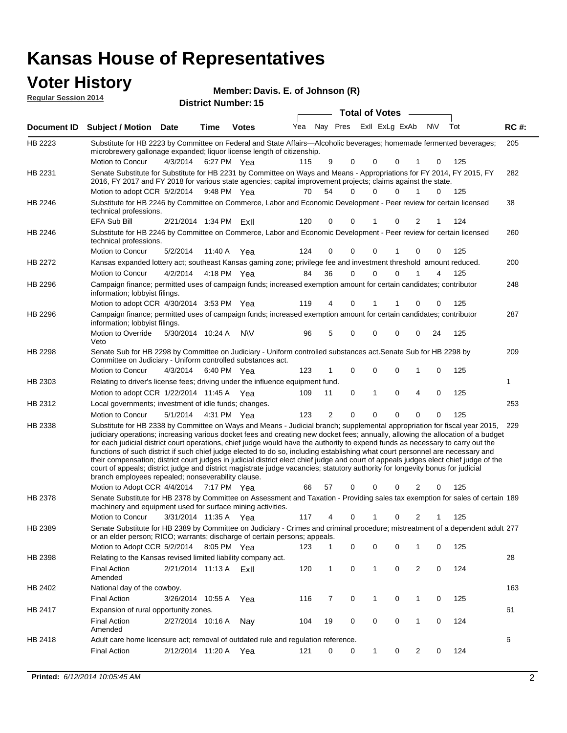# **Voter History**<br> **Regular Session 2014**

|                             | UW HUWY Y                                                                                                                                                                                                                                                                                                                                                                                                                                                                                                                                                                                                                                                                                                                                                                                                                                                                                           |                        |             |                            | Member: Davis. E. of Johnson (R) |    |                     |                             |                |     |     |             |
|-----------------------------|-----------------------------------------------------------------------------------------------------------------------------------------------------------------------------------------------------------------------------------------------------------------------------------------------------------------------------------------------------------------------------------------------------------------------------------------------------------------------------------------------------------------------------------------------------------------------------------------------------------------------------------------------------------------------------------------------------------------------------------------------------------------------------------------------------------------------------------------------------------------------------------------------------|------------------------|-------------|----------------------------|----------------------------------|----|---------------------|-----------------------------|----------------|-----|-----|-------------|
| <b>Regular Session 2014</b> |                                                                                                                                                                                                                                                                                                                                                                                                                                                                                                                                                                                                                                                                                                                                                                                                                                                                                                     |                        |             | <b>District Number: 15</b> |                                  |    |                     |                             |                |     |     |             |
|                             |                                                                                                                                                                                                                                                                                                                                                                                                                                                                                                                                                                                                                                                                                                                                                                                                                                                                                                     |                        |             |                            |                                  |    |                     | <b>Total of Votes</b>       |                |     |     |             |
| Document ID                 | <b>Subject / Motion Date</b>                                                                                                                                                                                                                                                                                                                                                                                                                                                                                                                                                                                                                                                                                                                                                                                                                                                                        |                        | Time        | <b>Votes</b>               | Yea                              |    |                     | Nay Pres Exll ExLg ExAb     |                | N\V | Tot | <b>RC#:</b> |
| HB 2223                     | Substitute for HB 2223 by Committee on Federal and State Affairs—Alcoholic beverages; homemade fermented beverages;<br>microbrewery gallonage expanded; liquor license length of citizenship.                                                                                                                                                                                                                                                                                                                                                                                                                                                                                                                                                                                                                                                                                                       |                        |             |                            |                                  |    |                     |                             |                |     |     | 205         |
|                             | Motion to Concur                                                                                                                                                                                                                                                                                                                                                                                                                                                                                                                                                                                                                                                                                                                                                                                                                                                                                    | 4/3/2014               |             | 6:27 PM Yea                | 115                              |    | 9<br>0              | 0<br>0                      | 1              | 0   | 125 |             |
| HB 2231                     | Senate Substitute for Substitute for HB 2231 by Committee on Ways and Means - Appropriations for FY 2014, FY 2015, FY<br>2016, FY 2017 and FY 2018 for various state agencies; capital improvement projects; claims against the state.                                                                                                                                                                                                                                                                                                                                                                                                                                                                                                                                                                                                                                                              |                        |             |                            |                                  |    |                     |                             |                |     |     | 282         |
|                             | Motion to adopt CCR 5/2/2014                                                                                                                                                                                                                                                                                                                                                                                                                                                                                                                                                                                                                                                                                                                                                                                                                                                                        |                        | 9:48 PM Yea |                            | 70                               | 54 | 0                   | $\Omega$<br>$\Omega$        | 1              | 0   | 125 |             |
| HB 2246                     | Substitute for HB 2246 by Committee on Commerce, Labor and Economic Development - Peer review for certain licensed<br>technical professions.                                                                                                                                                                                                                                                                                                                                                                                                                                                                                                                                                                                                                                                                                                                                                        |                        |             |                            |                                  |    |                     |                             |                |     |     | 38          |
|                             | <b>EFA Sub Bill</b>                                                                                                                                                                                                                                                                                                                                                                                                                                                                                                                                                                                                                                                                                                                                                                                                                                                                                 | 2/21/2014 1:34 PM ExII |             |                            | 120                              |    | 0<br>0              | 0                           | 2              | 1   | 124 |             |
| HB 2246                     | Substitute for HB 2246 by Committee on Commerce, Labor and Economic Development - Peer review for certain licensed<br>technical professions.                                                                                                                                                                                                                                                                                                                                                                                                                                                                                                                                                                                                                                                                                                                                                        |                        |             |                            |                                  |    |                     |                             |                |     |     | 260         |
|                             | Motion to Concur                                                                                                                                                                                                                                                                                                                                                                                                                                                                                                                                                                                                                                                                                                                                                                                                                                                                                    | 5/2/2014               |             | 11:40 A Yea                | 124                              |    | 0<br>0              | 0                           | 0              | 0   | 125 |             |
| HB 2272                     | Kansas expanded lottery act; southeast Kansas gaming zone; privilege fee and investment threshold amount reduced.<br>Motion to Concur                                                                                                                                                                                                                                                                                                                                                                                                                                                                                                                                                                                                                                                                                                                                                               | 4/2/2014               |             | 4:18 PM Yea                | 84                               | 36 | $\mathbf 0$         | $\Omega$<br>0               | 1              | 4   | 125 | 200         |
| HB 2296                     | Campaign finance; permitted uses of campaign funds; increased exemption amount for certain candidates; contributor<br>information; lobbyist filings.                                                                                                                                                                                                                                                                                                                                                                                                                                                                                                                                                                                                                                                                                                                                                |                        |             |                            |                                  |    |                     |                             |                |     |     | 248         |
|                             | Motion to adopt CCR 4/30/2014 3:53 PM Yea                                                                                                                                                                                                                                                                                                                                                                                                                                                                                                                                                                                                                                                                                                                                                                                                                                                           |                        |             |                            | 119                              |    | 0<br>4              |                             | 0              | 0   | 125 |             |
| HB 2296                     | Campaign finance; permitted uses of campaign funds; increased exemption amount for certain candidates; contributor<br>information; lobbyist filings.                                                                                                                                                                                                                                                                                                                                                                                                                                                                                                                                                                                                                                                                                                                                                |                        |             |                            |                                  |    |                     |                             |                |     |     | 287         |
|                             | Motion to Override<br>Veto                                                                                                                                                                                                                                                                                                                                                                                                                                                                                                                                                                                                                                                                                                                                                                                                                                                                          | 5/30/2014 10:24 A      |             | <b>NV</b>                  | 96                               |    | 5<br>0              | $\mathbf 0$<br>$\mathbf 0$  | 0              | 24  | 125 |             |
| HB 2298                     | Senate Sub for HB 2298 by Committee on Judiciary - Uniform controlled substances act. Senate Sub for HB 2298 by<br>Committee on Judiciary - Uniform controlled substances act.                                                                                                                                                                                                                                                                                                                                                                                                                                                                                                                                                                                                                                                                                                                      |                        |             |                            |                                  |    |                     |                             |                |     |     | 209         |
|                             | Motion to Concur                                                                                                                                                                                                                                                                                                                                                                                                                                                                                                                                                                                                                                                                                                                                                                                                                                                                                    | 4/3/2014               |             | 6:40 PM Yea                | 123                              | 1  | $\mathbf 0$         | $\mathbf 0$<br>$\mathbf 0$  | 1              | 0   | 125 |             |
| HB 2303                     | Relating to driver's license fees; driving under the influence equipment fund.                                                                                                                                                                                                                                                                                                                                                                                                                                                                                                                                                                                                                                                                                                                                                                                                                      |                        |             |                            |                                  |    |                     |                             |                |     |     | 1           |
|                             | Motion to adopt CCR 1/22/2014 11:45 A Yea                                                                                                                                                                                                                                                                                                                                                                                                                                                                                                                                                                                                                                                                                                                                                                                                                                                           |                        |             |                            | 109                              | 11 | 0                   | $\mathbf{1}$<br>$\mathbf 0$ | 4              | 0   | 125 |             |
| HB 2312                     | Local governments; investment of idle funds; changes.                                                                                                                                                                                                                                                                                                                                                                                                                                                                                                                                                                                                                                                                                                                                                                                                                                               |                        |             |                            |                                  |    |                     |                             |                |     |     | 253         |
|                             | Motion to Concur                                                                                                                                                                                                                                                                                                                                                                                                                                                                                                                                                                                                                                                                                                                                                                                                                                                                                    | 5/1/2014               |             | 4:31 PM Yea                | 123                              |    | $\overline{2}$<br>0 | $\Omega$<br>$\Omega$        | $\Omega$       | 0   | 125 |             |
| HB 2338                     | Substitute for HB 2338 by Committee on Ways and Means - Judicial branch; supplemental appropriation for fiscal year 2015,<br>judiciary operations; increasing various docket fees and creating new docket fees; annually, allowing the allocation of a budget<br>for each judicial district court operations, chief judge would have the authority to expend funds as necessary to carry out the<br>functions of such district if such chief judge elected to do so, including establishing what court personnel are necessary and<br>their compensation; district court judges in judicial district elect chief judge and court of appeals judges elect chief judge of the<br>court of appeals; district judge and district magistrate judge vacancies; statutory authority for longevity bonus for judicial<br>branch employees repealed; nonseverability clause.<br>Motion to Adopt CCR 4/4/2014 |                        | 7:17 PM Yea |                            | 66                               | 57 | 0                   | 0<br>0                      | 2              | 0   | 125 | 229         |
| HB 2378                     | Senate Substitute for HB 2378 by Committee on Assessment and Taxation - Providing sales tax exemption for sales of certain 189                                                                                                                                                                                                                                                                                                                                                                                                                                                                                                                                                                                                                                                                                                                                                                      |                        |             |                            |                                  |    |                     |                             |                |     |     |             |
|                             | machinery and equipment used for surface mining activities.<br>Motion to Concur                                                                                                                                                                                                                                                                                                                                                                                                                                                                                                                                                                                                                                                                                                                                                                                                                     | 3/31/2014 11:35 A      |             |                            | 117                              |    | 0<br>4              | 0<br>1                      | $\overline{2}$ | 1   | 125 |             |
| HB 2389                     | Senate Substitute for HB 2389 by Committee on Judiciary - Crimes and criminal procedure; mistreatment of a dependent adult 277                                                                                                                                                                                                                                                                                                                                                                                                                                                                                                                                                                                                                                                                                                                                                                      |                        |             | Yea                        |                                  |    |                     |                             |                |     |     |             |
|                             | or an elder person; RICO; warrants; discharge of certain persons; appeals.                                                                                                                                                                                                                                                                                                                                                                                                                                                                                                                                                                                                                                                                                                                                                                                                                          |                        |             |                            | 123                              |    | 0<br>1              | 0<br>0                      | 1              | 0   | 125 |             |
| HB 2398                     | Motion to Adopt CCR 5/2/2014 8:05 PM Yea<br>Relating to the Kansas revised limited liability company act.                                                                                                                                                                                                                                                                                                                                                                                                                                                                                                                                                                                                                                                                                                                                                                                           |                        |             |                            |                                  |    |                     |                             |                |     |     | 28          |
|                             | Final Action<br>Amended                                                                                                                                                                                                                                                                                                                                                                                                                                                                                                                                                                                                                                                                                                                                                                                                                                                                             | 2/21/2014 11:13 A Exil |             |                            | 120                              |    | 0<br>$\mathbf{1}$   | $\mathbf{1}$<br>0           | $\overline{2}$ | 0   | 124 |             |
| HB 2402                     | National day of the cowboy.                                                                                                                                                                                                                                                                                                                                                                                                                                                                                                                                                                                                                                                                                                                                                                                                                                                                         |                        |             |                            |                                  |    |                     |                             |                |     |     | 163         |
|                             | <b>Final Action</b>                                                                                                                                                                                                                                                                                                                                                                                                                                                                                                                                                                                                                                                                                                                                                                                                                                                                                 | 3/26/2014 10:55 A      |             | Yea                        | 116                              |    | 0<br>7              | 1<br>0                      | 1              | 0   | 125 |             |
| HB 2417                     | Expansion of rural opportunity zones.                                                                                                                                                                                                                                                                                                                                                                                                                                                                                                                                                                                                                                                                                                                                                                                                                                                               |                        |             |                            |                                  |    |                     |                             |                |     |     | 61          |
|                             | <b>Final Action</b><br>Amended                                                                                                                                                                                                                                                                                                                                                                                                                                                                                                                                                                                                                                                                                                                                                                                                                                                                      | 2/27/2014 10:16 A      |             | Nay                        | 104                              | 19 | 0                   | 0<br>0                      | 1              | 0   | 124 |             |
| HB 2418                     | Adult care home licensure act; removal of outdated rule and regulation reference.                                                                                                                                                                                                                                                                                                                                                                                                                                                                                                                                                                                                                                                                                                                                                                                                                   |                        |             |                            |                                  |    |                     |                             |                |     |     | 6           |

2/12/2014 Final Action Yea 124

121 0 0 1 0 2 0 124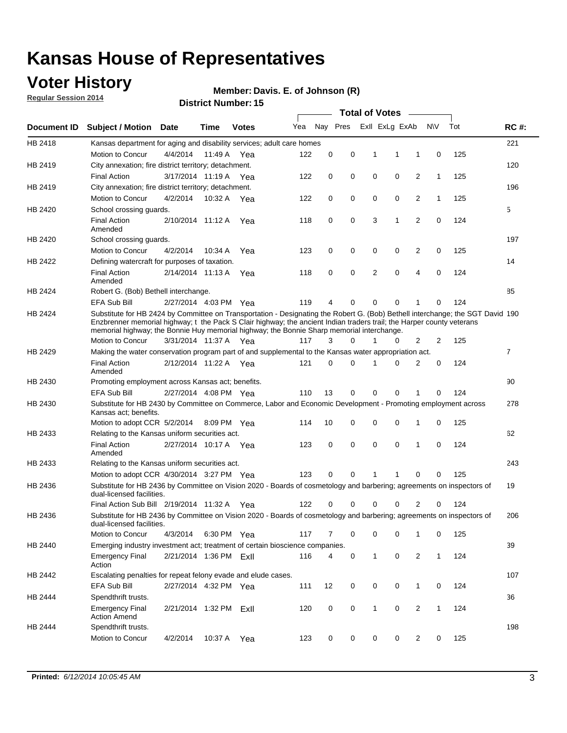### **Voter History**

**Regular Session 2014**

#### **Member: Davis. E. of Johnson (R)**

|                    |                                                                                                                                                                                                                                                                                                                                                      |                        |             | DISTRICT MAILINGLE 19 |     |          |          |              | Total of Votes –        |                |              |     |                |
|--------------------|------------------------------------------------------------------------------------------------------------------------------------------------------------------------------------------------------------------------------------------------------------------------------------------------------------------------------------------------------|------------------------|-------------|-----------------------|-----|----------|----------|--------------|-------------------------|----------------|--------------|-----|----------------|
| <b>Document ID</b> | <b>Subject / Motion</b>                                                                                                                                                                                                                                                                                                                              | Date                   | Time        | <b>Votes</b>          | Yea |          |          |              | Nay Pres ExII ExLg ExAb |                | <b>NV</b>    | Tot | <b>RC#:</b>    |
| HB 2418            | Kansas department for aging and disability services; adult care homes                                                                                                                                                                                                                                                                                |                        |             |                       |     |          |          |              |                         |                |              |     | 221            |
|                    | Motion to Concur                                                                                                                                                                                                                                                                                                                                     | 4/4/2014               | 11:49 A     | Yea                   | 122 | 0        | 0        | 1            | 1                       | 1              | 0            | 125 |                |
| HB 2419            | City annexation; fire district territory; detachment.                                                                                                                                                                                                                                                                                                |                        |             |                       |     |          |          |              |                         |                |              |     | 120            |
|                    | <b>Final Action</b>                                                                                                                                                                                                                                                                                                                                  | 3/17/2014 11:19 A      |             | Yea                   | 122 | 0        | 0        | 0            | 0                       | 2              | 1            | 125 |                |
| HB 2419            | City annexation; fire district territory; detachment.                                                                                                                                                                                                                                                                                                |                        |             |                       |     |          |          |              |                         |                |              |     | 196            |
|                    | Motion to Concur                                                                                                                                                                                                                                                                                                                                     | 4/2/2014               | 10:32 A     | Yea                   | 122 | 0        | 0        | 0            | 0                       | 2              | $\mathbf{1}$ | 125 |                |
| HB 2420            | School crossing guards.                                                                                                                                                                                                                                                                                                                              |                        |             |                       |     |          |          |              |                         |                |              |     | 5              |
|                    | <b>Final Action</b><br>Amended                                                                                                                                                                                                                                                                                                                       | 2/10/2014 11:12 A      |             | Yea                   | 118 | 0        | 0        | 3            | 1                       | $\overline{2}$ | 0            | 124 |                |
| HB 2420            | School crossing guards.                                                                                                                                                                                                                                                                                                                              |                        |             |                       |     |          |          |              |                         |                |              |     | 197            |
|                    | Motion to Concur                                                                                                                                                                                                                                                                                                                                     | 4/2/2014               | 10:34 A     | Yea                   | 123 | 0        | 0        | 0            | 0                       | 2              | 0            | 125 |                |
| HB 2422            | Defining watercraft for purposes of taxation.                                                                                                                                                                                                                                                                                                        |                        |             |                       |     |          |          |              |                         |                |              |     | 14             |
|                    | <b>Final Action</b><br>Amended                                                                                                                                                                                                                                                                                                                       | 2/14/2014 11:13 A      |             | Yea                   | 118 | 0        | 0        | 2            | 0                       | 4              | 0            | 124 |                |
| HB 2424            | Robert G. (Bob) Bethell interchange.                                                                                                                                                                                                                                                                                                                 |                        |             |                       |     |          |          |              |                         |                |              |     | 85             |
|                    | <b>EFA Sub Bill</b>                                                                                                                                                                                                                                                                                                                                  | 2/27/2014 4:03 PM Yea  |             |                       | 119 | 4        | 0        | 0            | 0                       | 1              | 0            | 124 |                |
| HB 2424            | Substitute for HB 2424 by Committee on Transportation - Designating the Robert G. (Bob) Bethell interchange; the SGT David 190<br>Enzbrenner memorial highway; t the Pack S Clair highway; the ancient Indian traders trail; the Harper county veterans<br>memorial highway; the Bonnie Huy memorial highway; the Bonnie Sharp memorial interchange. |                        |             |                       |     |          |          |              |                         |                |              |     |                |
|                    | Motion to Concur                                                                                                                                                                                                                                                                                                                                     | 3/31/2014 11:37 A Yea  |             |                       | 117 | 3        | $\Omega$ | 1            | 0                       | 2              | 2            | 125 |                |
| HB 2429            | Making the water conservation program part of and supplemental to the Kansas water appropriation act.                                                                                                                                                                                                                                                |                        |             |                       |     |          |          |              |                         |                |              |     | $\overline{7}$ |
|                    | <b>Final Action</b><br>Amended                                                                                                                                                                                                                                                                                                                       | 2/12/2014 11:22 A Yea  |             |                       | 121 | $\Omega$ | 0        | 1            | 0                       | 2              | 0            | 124 |                |
| HB 2430            | Promoting employment across Kansas act; benefits.                                                                                                                                                                                                                                                                                                    |                        |             |                       |     |          |          |              |                         |                |              |     | 90             |
|                    | <b>EFA Sub Bill</b>                                                                                                                                                                                                                                                                                                                                  | 2/27/2014 4:08 PM Yea  |             |                       | 110 | 13       | 0        | 0            | 0                       |                | 0            | 124 |                |
| HB 2430            | Substitute for HB 2430 by Committee on Commerce, Labor and Economic Development - Promoting employment across<br>Kansas act; benefits.                                                                                                                                                                                                               |                        |             |                       |     |          |          |              |                         |                |              |     | 278            |
|                    | Motion to adopt CCR 5/2/2014                                                                                                                                                                                                                                                                                                                         |                        | 8:09 PM Yea |                       | 114 | 10       | 0        | 0            | 0                       | 1              | 0            | 125 |                |
| HB 2433            | Relating to the Kansas uniform securities act.                                                                                                                                                                                                                                                                                                       |                        |             |                       |     |          |          |              |                         |                |              |     | 62             |
|                    | <b>Final Action</b><br>Amended                                                                                                                                                                                                                                                                                                                       | 2/27/2014 10:17 A Yea  |             |                       | 123 | 0        | 0        | $\mathbf 0$  | 0                       | 1              | $\mathbf 0$  | 124 |                |
| HB 2433            | Relating to the Kansas uniform securities act.                                                                                                                                                                                                                                                                                                       |                        |             |                       |     |          |          |              |                         |                |              |     | 243            |
|                    | Motion to adopt CCR 4/30/2014 3:27 PM Yea                                                                                                                                                                                                                                                                                                            |                        |             |                       | 123 | $\Omega$ | $\Omega$ | 1            | 1                       | 0              | 0            | 125 |                |
| HB 2436            | Substitute for HB 2436 by Committee on Vision 2020 - Boards of cosmetology and barbering; agreements on inspectors of<br>dual-licensed facilities.                                                                                                                                                                                                   |                        |             |                       |     |          |          |              |                         |                |              |     | 19             |
|                    | Final Action Sub Bill 2/19/2014 11:32 A                                                                                                                                                                                                                                                                                                              |                        |             | Yea                   | 122 |          | 0        | 0            | 0                       | 2              | 0            | 124 |                |
| HB 2436            | Substitute for HB 2436 by Committee on Vision 2020 - Boards of cosmetology and barbering; agreements on inspectors of<br>dual-licensed facilities.                                                                                                                                                                                                   |                        |             |                       |     |          |          |              |                         |                |              |     | 206            |
|                    | Motion to Concur                                                                                                                                                                                                                                                                                                                                     | 4/3/2014               | 6:30 PM Yea |                       | 117 | 7        | 0        | 0            | 0                       | 1              | 0            | 125 |                |
| HB 2440            | Emerging industry investment act; treatment of certain bioscience companies.                                                                                                                                                                                                                                                                         |                        |             |                       |     |          |          |              |                         |                |              |     | 39             |
|                    | <b>Emergency Final</b><br>Action                                                                                                                                                                                                                                                                                                                     | 2/21/2014 1:36 PM ExII |             |                       | 116 | 4        | 0        | 1            | $\mathbf 0$             | 2              | $\mathbf{1}$ | 124 |                |
| HB 2442            | Escalating penalties for repeat felony evade and elude cases.                                                                                                                                                                                                                                                                                        |                        |             |                       |     |          |          |              |                         |                |              |     | 107            |
|                    | EFA Sub Bill                                                                                                                                                                                                                                                                                                                                         | 2/27/2014 4:32 PM Yea  |             |                       | 111 | 12       | 0        | 0            | 0                       | $\mathbf{1}$   | 0            | 124 |                |
| HB 2444            | Spendthrift trusts.                                                                                                                                                                                                                                                                                                                                  |                        |             |                       |     |          |          |              |                         |                |              |     | 36             |
|                    | <b>Emergency Final</b><br><b>Action Amend</b>                                                                                                                                                                                                                                                                                                        | 2/21/2014 1:32 PM ExII |             |                       | 120 | 0        | 0        | $\mathbf{1}$ | 0                       | $\overline{c}$ | $\mathbf{1}$ | 124 |                |
| HB 2444            | Spendthrift trusts.                                                                                                                                                                                                                                                                                                                                  |                        |             |                       |     |          |          |              |                         |                |              |     | 198            |
|                    | Motion to Concur                                                                                                                                                                                                                                                                                                                                     | 4/2/2014               | 10:37 A Yea |                       | 123 | 0        | 0        | 0            | 0                       | $\overline{2}$ | 0            | 125 |                |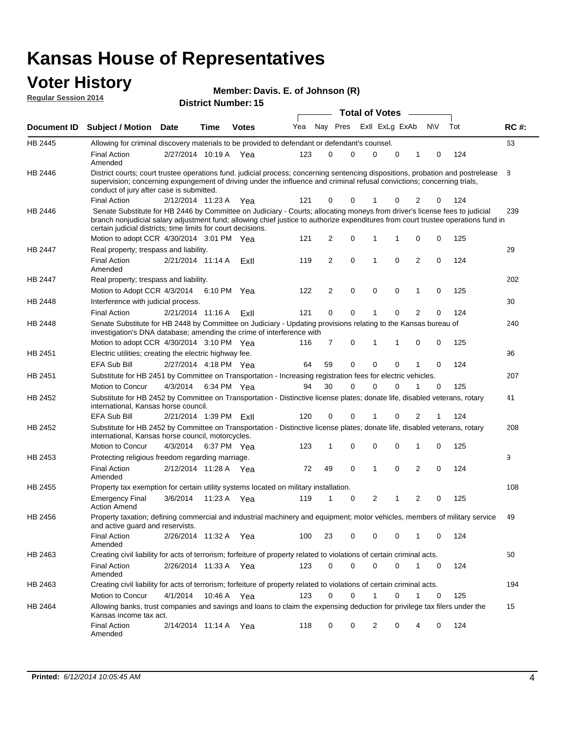| <b>Regular Session 2014</b> |                                                                                                                                                                                                                                                                                                                                 |                        |             | Member: Davis. E. of Johnson (R)<br><b>District Number: 15</b> |     |                |             |                       |              |                |          |     |             |
|-----------------------------|---------------------------------------------------------------------------------------------------------------------------------------------------------------------------------------------------------------------------------------------------------------------------------------------------------------------------------|------------------------|-------------|----------------------------------------------------------------|-----|----------------|-------------|-----------------------|--------------|----------------|----------|-----|-------------|
|                             |                                                                                                                                                                                                                                                                                                                                 |                        |             |                                                                |     |                |             | <b>Total of Votes</b> |              |                |          |     |             |
| <b>Document ID</b>          | <b>Subject / Motion</b>                                                                                                                                                                                                                                                                                                         | <b>Date</b>            | Time        | <b>Votes</b>                                                   | Yea |                | Nay Pres    | Exll ExLg ExAb        |              |                | N\V      | Tot | <b>RC#:</b> |
| HB 2445                     | Allowing for criminal discovery materials to be provided to defendant or defendant's counsel.                                                                                                                                                                                                                                   |                        |             |                                                                |     |                |             |                       |              |                |          |     | 63          |
|                             | <b>Final Action</b><br>Amended                                                                                                                                                                                                                                                                                                  | 2/27/2014 10:19 A      |             | Yea                                                            | 123 | $\Omega$       | $\Omega$    | $\Omega$              | $\Omega$     | 1              | $\Omega$ | 124 |             |
| HB 2446                     | District courts; court trustee operations fund. judicial process; concerning sentencing dispositions, probation and postrelease<br>supervision; concerning expungement of driving under the influence and criminal refusal convictions; concerning trials,<br>conduct of jury after case is submitted.                          |                        |             |                                                                |     |                |             |                       |              |                |          |     | 8           |
|                             | <b>Final Action</b>                                                                                                                                                                                                                                                                                                             | 2/12/2014 11:23 A      |             | Yea                                                            | 121 | 0              | $\mathbf 0$ |                       | 0            | $\overline{2}$ | 0        | 124 |             |
| HB 2446                     | Senate Substitute for HB 2446 by Committee on Judiciary - Courts; allocating moneys from driver's license fees to judicial<br>branch nonjudicial salary adjustment fund; allowing chief justice to authorize expenditures from court trustee operations fund in<br>certain judicial districts; time limits for court decisions. |                        |             |                                                                |     |                |             |                       |              |                |          |     | 239         |
|                             | Motion to adopt CCR 4/30/2014 3:01 PM Yea                                                                                                                                                                                                                                                                                       |                        |             |                                                                | 121 | $\overline{2}$ | $\Omega$    | 1                     | $\mathbf{1}$ | $\Omega$       | $\Omega$ | 125 |             |
| HB 2447                     | Real property; trespass and liability.                                                                                                                                                                                                                                                                                          |                        |             |                                                                |     |                |             |                       |              |                |          |     | 29          |
|                             | <b>Final Action</b><br>Amended                                                                                                                                                                                                                                                                                                  | 2/21/2014 11:14 A      |             | ExII                                                           | 119 | $\overline{2}$ | $\mathbf 0$ | 1                     | 0            | $\overline{2}$ | 0        | 124 |             |
| HB 2447                     | Real property; trespass and liability.                                                                                                                                                                                                                                                                                          |                        |             |                                                                |     |                |             |                       |              |                |          |     | 202         |
|                             | Motion to Adopt CCR 4/3/2014                                                                                                                                                                                                                                                                                                    |                        |             | 6:10 PM Yea                                                    | 122 | $\overline{2}$ | $\mathbf 0$ | $\mathbf 0$           | 0            | $\mathbf{1}$   | 0        | 125 |             |
| HB 2448                     | Interference with judicial process.                                                                                                                                                                                                                                                                                             |                        |             |                                                                |     |                |             |                       |              |                |          |     | 30          |
|                             | <b>Final Action</b>                                                                                                                                                                                                                                                                                                             | 2/21/2014 11:16 A      |             | ExII                                                           | 121 | $\Omega$       | $\Omega$    | 1                     | $\Omega$     | $\overline{2}$ | 0        | 124 |             |
| HB 2448                     | Senate Substitute for HB 2448 by Committee on Judiciary - Updating provisions relating to the Kansas bureau of<br>investigation's DNA database; amending the crime of interference with                                                                                                                                         |                        |             |                                                                |     |                |             |                       |              |                |          |     | 240         |
|                             | Motion to adopt CCR 4/30/2014 3:10 PM Yea                                                                                                                                                                                                                                                                                       |                        |             |                                                                | 116 | 7              | $\mathbf 0$ | 1                     | 1            | 0              | 0        | 125 |             |
| HB 2451                     | Electric utilities; creating the electric highway fee.                                                                                                                                                                                                                                                                          |                        |             |                                                                |     |                |             |                       |              |                |          |     | 96          |
|                             | <b>EFA Sub Bill</b>                                                                                                                                                                                                                                                                                                             | 2/27/2014 4:18 PM Yea  |             |                                                                | 64  | 59             | $\Omega$    | $\Omega$              | 0            | 1              | $\Omega$ | 124 |             |
| HB 2451                     | Substitute for HB 2451 by Committee on Transportation - Increasing registration fees for electric vehicles.                                                                                                                                                                                                                     |                        |             |                                                                |     |                |             |                       |              |                |          |     | 207         |
|                             | <b>Motion to Concur</b>                                                                                                                                                                                                                                                                                                         | 4/3/2014               | 6:34 PM Yea |                                                                | 94  | 30             | $\Omega$    | 0                     | 0            | 1              | 0        | 125 |             |
| HB 2452                     | Substitute for HB 2452 by Committee on Transportation - Distinctive license plates; donate life, disabled veterans, rotary<br>international, Kansas horse council.                                                                                                                                                              |                        |             |                                                                |     |                |             |                       |              |                |          |     | 41          |
|                             | <b>EFA Sub Bill</b>                                                                                                                                                                                                                                                                                                             | 2/21/2014 1:39 PM ExII |             |                                                                | 120 | $\Omega$       | $\Omega$    | 1                     | 0            | $\overline{2}$ | 1        | 124 |             |
| HB 2452                     | Substitute for HB 2452 by Committee on Transportation - Distinctive license plates; donate life, disabled veterans, rotary<br>international, Kansas horse council, motorcycles.                                                                                                                                                 |                        |             |                                                                |     |                |             |                       |              |                |          |     | 208         |
|                             | Motion to Concur                                                                                                                                                                                                                                                                                                                | 4/3/2014               |             | 6:37 PM Yea                                                    | 123 | 1              | $\mathbf 0$ | $\mathbf 0$           | 0            | $\mathbf{1}$   | 0        | 125 |             |
| HB 2453                     | Protecting religious freedom regarding marriage.                                                                                                                                                                                                                                                                                |                        |             |                                                                |     |                |             |                       |              |                |          |     | 9           |
|                             | <b>Final Action</b><br>Amended                                                                                                                                                                                                                                                                                                  | 2/12/2014 11:28 A      |             | Yea                                                            | 72  | 49             | $\Omega$    | 1                     | $\mathbf{0}$ | $\overline{2}$ | $\Omega$ | 124 |             |
| HB 2455                     | Property tax exemption for certain utility systems located on military installation.                                                                                                                                                                                                                                            |                        |             |                                                                |     |                |             |                       |              |                |          |     | 108         |
|                             | <b>Emergency Final</b><br><b>Action Amend</b>                                                                                                                                                                                                                                                                                   | 3/6/2014               | 11:23 A     | Yea                                                            | 119 | 1              | 0           | 2                     | 1            | $\overline{2}$ | 0        | 125 |             |
| HB 2456                     | Property taxation; defining commercial and industrial machinery and equipment; motor vehicles, members of military service<br>and active guard and reservists.                                                                                                                                                                  |                        |             |                                                                |     |                |             |                       |              |                |          |     | 49          |

|         | <b>Final Action</b><br>Amended                                                                                                                      | 2/26/2014 | 11:32 A | Yea | 100 | 23       | 0 | 0 | 0        |   |   | 124 |
|---------|-----------------------------------------------------------------------------------------------------------------------------------------------------|-----------|---------|-----|-----|----------|---|---|----------|---|---|-----|
| HB 2463 | Creating civil liability for acts of terrorism; forfeiture of property related to violations of certain criminal acts.                              |           |         |     |     |          |   |   |          |   |   |     |
|         | Final Action<br>Amended                                                                                                                             | 2/26/2014 | 11:33 A | Yea | 123 | $\Omega$ | 0 | 0 | 0        |   | 0 | 124 |
| HB 2463 | Creating civil liability for acts of terrorism; forfeiture of property related to violations of certain criminal acts.                              |           |         |     |     |          |   |   |          |   |   |     |
|         | Motion to Concur                                                                                                                                    | 4/1/2014  | 10:46 A | Yea | 123 | $\Omega$ | 0 |   | 0        |   |   | 125 |
| HB 2464 | Allowing banks, trust companies and savings and loans to claim the expensing deduction for privilege tax filers under the<br>Kansas income tax act. |           |         |     |     |          |   |   |          |   |   |     |
|         | <b>Final Action</b><br>Amended                                                                                                                      | 2/14/2014 | 11:14 A | Yea | 118 | $\Omega$ | 0 |   | $\Omega$ | 4 |   | 124 |

50

194

15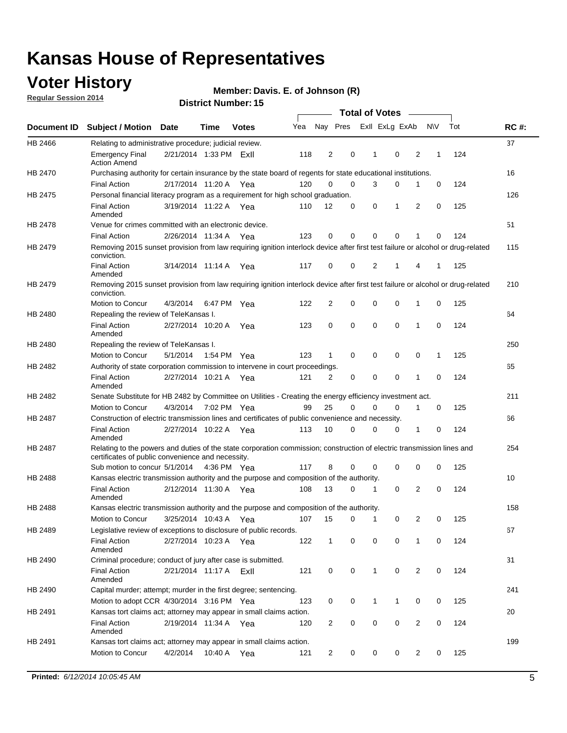### **Voter History**

**Regular Session 2014**

#### **Member: Davis. E. of Johnson (R)**

|         |                                                                                                                                                                             |                        |             |              |     |                |             | <b>Total of Votes</b> |                |                |             |     |             |
|---------|-----------------------------------------------------------------------------------------------------------------------------------------------------------------------------|------------------------|-------------|--------------|-----|----------------|-------------|-----------------------|----------------|----------------|-------------|-----|-------------|
|         | Document ID Subject / Motion Date                                                                                                                                           |                        | Time        | <b>Votes</b> | Yea | Nay Pres       |             |                       | Exll ExLg ExAb |                | <b>NV</b>   | Tot | <b>RC#:</b> |
| HB 2466 | Relating to administrative procedure; judicial review.                                                                                                                      |                        |             |              |     |                |             |                       |                |                |             |     | 37          |
|         | <b>Emergency Final</b><br><b>Action Amend</b>                                                                                                                               | 2/21/2014 1:33 PM Exil |             |              | 118 | $\overline{2}$ | 0           | 1                     | 0              | $\overline{2}$ | 1           | 124 |             |
| HB 2470 | Purchasing authority for certain insurance by the state board of regents for state educational institutions.                                                                |                        |             |              |     |                |             |                       |                |                |             |     | 16          |
|         | <b>Final Action</b>                                                                                                                                                         | 2/17/2014 11:20 A Yea  |             |              | 120 | 0              | 0           | 3                     | 0              | 1              | 0           | 124 |             |
| HB 2475 | Personal financial literacy program as a requirement for high school graduation.                                                                                            |                        |             |              |     |                |             |                       |                |                |             |     | 126         |
|         | <b>Final Action</b><br>Amended                                                                                                                                              | 3/19/2014 11:22 A Yea  |             |              | 110 | 12             | 0           | 0                     | 1              | 2              | 0           | 125 |             |
| HB 2478 | Venue for crimes committed with an electronic device.                                                                                                                       |                        |             |              |     |                |             |                       |                |                |             |     | 51          |
|         | <b>Final Action</b>                                                                                                                                                         | 2/26/2014 11:34 A      |             | Yea          | 123 | 0              | 0           | 0                     | $\mathbf 0$    | 1              | 0           | 124 |             |
| HB 2479 | Removing 2015 sunset provision from law requiring ignition interlock device after first test failure or alcohol or drug-related<br>conviction.                              |                        |             |              |     |                |             |                       |                |                |             |     | 115         |
|         | <b>Final Action</b><br>Amended                                                                                                                                              | 3/14/2014 11:14 A      |             | Yea          | 117 | 0              | 0           | 2                     | 1              | 4              | 1           | 125 |             |
| HB 2479 | Removing 2015 sunset provision from law requiring ignition interlock device after first test failure or alcohol or drug-related<br>conviction.                              |                        |             |              |     |                |             |                       |                |                |             |     | 210         |
|         | Motion to Concur                                                                                                                                                            | 4/3/2014               | 6:47 PM Yea |              | 122 | 2              | 0           | 0                     | $\mathbf 0$    | 1              | 0           | 125 |             |
| HB 2480 | Repealing the review of TeleKansas I.                                                                                                                                       |                        |             |              |     |                |             |                       |                |                |             |     | 64          |
|         | <b>Final Action</b><br>Amended                                                                                                                                              | 2/27/2014 10:20 A Yea  |             |              | 123 | 0              | 0           | 0                     | $\mathbf 0$    | 1              | 0           | 124 |             |
| HB 2480 | Repealing the review of TeleKansas I.                                                                                                                                       |                        |             |              |     |                |             |                       |                |                |             |     | 250         |
|         | Motion to Concur                                                                                                                                                            | 5/1/2014               | 1:54 PM Yea |              | 123 | $\mathbf{1}$   | $\mathbf 0$ | $\mathbf 0$           | $\mathbf 0$    | 0              | 1           | 125 |             |
| HB 2482 | Authority of state corporation commission to intervene in court proceedings.                                                                                                |                        |             |              |     |                |             |                       |                |                |             |     | 65          |
|         | <b>Final Action</b><br>Amended                                                                                                                                              | 2/27/2014 10:21 A      |             | Yea          | 121 | 2              | 0           | $\mathbf 0$           | $\mathbf 0$    | 1              | $\mathbf 0$ | 124 |             |
| HB 2482 | Senate Substitute for HB 2482 by Committee on Utilities - Creating the energy efficiency investment act.                                                                    |                        |             |              |     |                |             |                       |                |                |             |     | 211         |
|         | Motion to Concur                                                                                                                                                            | 4/3/2014 7:02 PM Yea   |             |              | 99  | 25             | 0           | $\mathbf 0$           | 0              | 1              | 0           | 125 |             |
| HB 2487 | Construction of electric transmission lines and certificates of public convenience and necessity.                                                                           |                        |             |              |     |                |             |                       |                |                |             |     | 66          |
|         | <b>Final Action</b><br>Amended                                                                                                                                              | 2/27/2014 10:22 A Yea  |             |              | 113 | 10             | 0           | 0                     | 0              | 1              | 0           | 124 |             |
| HB 2487 | Relating to the powers and duties of the state corporation commission; construction of electric transmission lines and<br>certificates of public convenience and necessity. |                        |             |              |     |                |             |                       |                |                |             |     | 254         |
|         | Sub motion to concur 5/1/2014 4:36 PM Yea                                                                                                                                   |                        |             |              | 117 | 8              | 0           | 0                     | 0              | 0              | 0           | 125 |             |
| HB 2488 | Kansas electric transmission authority and the purpose and composition of the authority.                                                                                    |                        |             |              |     |                |             |                       |                |                |             |     | 10          |
|         | <b>Final Action</b><br>Amended                                                                                                                                              | 2/12/2014 11:30 A Yea  |             |              | 108 | 13             | 0           | 1                     | $\mathbf 0$    | 2              | 0           | 124 |             |
| HB 2488 | Kansas electric transmission authority and the purpose and composition of the authority.                                                                                    |                        |             |              |     |                |             |                       |                |                |             |     | 158         |
|         | Motion to Concur                                                                                                                                                            | 3/25/2014 10:43 A      |             | Yea          | 107 | 15             | 0           | 1                     | 0              | 2              | 0           | 125 |             |
| HB 2489 | Legislative review of exceptions to disclosure of public records.                                                                                                           |                        |             |              |     |                |             |                       |                |                |             |     | 67          |
|         | <b>Final Action</b><br>Amended                                                                                                                                              | 2/27/2014 10:23 A Yea  |             |              | 122 | $\mathbf{1}$   | 0           | 0                     | $\mathbf 0$    | 1              | 0           | 124 |             |
| HB 2490 | Criminal procedure; conduct of jury after case is submitted.                                                                                                                |                        |             |              |     |                |             |                       |                |                |             |     | 31          |
|         | <b>Final Action</b><br>Amended                                                                                                                                              | 2/21/2014 11:17 A ExII |             |              | 121 | 0              | 0           | $\mathbf{1}$          | $\mathbf 0$    | $\overline{2}$ | 0           | 124 |             |
| HB 2490 | Capital murder; attempt; murder in the first degree; sentencing.                                                                                                            |                        |             |              |     |                |             |                       |                |                |             |     | 241         |
|         | Motion to adopt CCR 4/30/2014 3:16 PM Yea                                                                                                                                   |                        |             |              | 123 | 0              | 0           | $\mathbf{1}$          | $\mathbf{1}$   | 0              | 0           | 125 |             |
| HB 2491 | Kansas tort claims act; attorney may appear in small claims action.                                                                                                         |                        |             |              |     |                |             |                       |                |                |             |     | 20          |
|         | <b>Final Action</b><br>Amended                                                                                                                                              | 2/19/2014 11:34 A Yea  |             |              | 120 | 2              | 0           | 0                     | $\pmb{0}$      | $\overline{2}$ | 0           | 124 |             |
| HB 2491 | Kansas tort claims act; attorney may appear in small claims action.                                                                                                         |                        |             |              |     |                |             |                       |                |                |             |     | 199         |
|         | Motion to Concur                                                                                                                                                            | 4/2/2014               |             | 10:40 A Yea  | 121 | $\overline{2}$ | 0           | 0                     | 0              | $\overline{2}$ | 0           | 125 |             |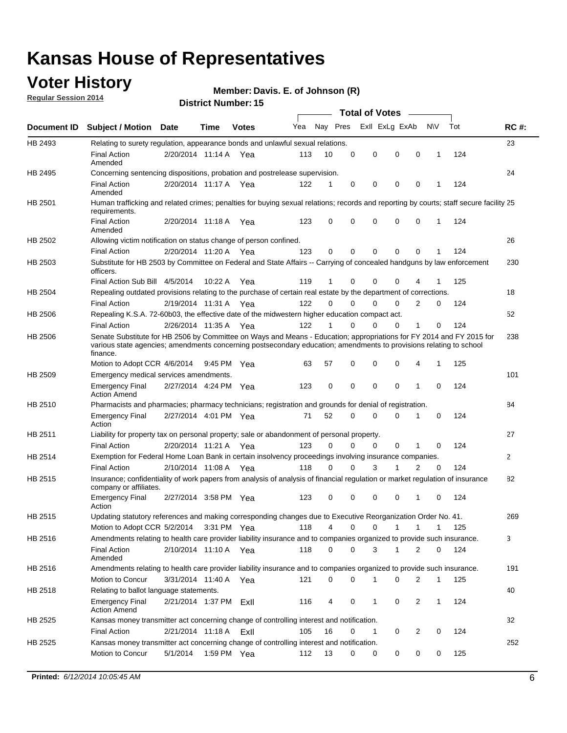### **Voter History**

**Regular Session 2014**

#### **Member: Davis. E. of Johnson (R)**

|                | DISTRICT MAILINGL. 19<br>Total of Votes –                                                                                                                                                                                                              |                        |             |              |     |          |             |  |                         |                |             |     |              |
|----------------|--------------------------------------------------------------------------------------------------------------------------------------------------------------------------------------------------------------------------------------------------------|------------------------|-------------|--------------|-----|----------|-------------|--|-------------------------|----------------|-------------|-----|--------------|
| Document ID    | <b>Subject / Motion Date</b>                                                                                                                                                                                                                           |                        | Time        | <b>Votes</b> | Yea | Nay Pres |             |  | Exll ExLg ExAb          |                | N\V         | Tot | <b>RC#:</b>  |
| HB 2493        | Relating to surety regulation, appearance bonds and unlawful sexual relations.                                                                                                                                                                         |                        |             |              |     |          |             |  |                         |                |             |     | 23           |
|                | <b>Final Action</b><br>Amended                                                                                                                                                                                                                         | 2/20/2014 11:14 A Yea  |             |              | 113 | 10       | $\mathbf 0$ |  | 0<br>$\mathbf 0$        | $\mathbf 0$    | 1           | 124 |              |
| HB 2495        | Concerning sentencing dispositions, probation and postrelease supervision.                                                                                                                                                                             |                        |             |              |     |          |             |  |                         |                |             |     | 24           |
|                | <b>Final Action</b><br>Amended                                                                                                                                                                                                                         | 2/20/2014 11:17 A      |             | Yea          | 122 | 1        | $\mathbf 0$ |  | 0<br>0                  | 0              | 1           | 124 |              |
| HB 2501        | Human trafficking and related crimes; penalties for buying sexual relations; records and reporting by courts; staff secure facility 25<br>requirements.                                                                                                |                        |             |              |     |          |             |  |                         |                |             |     |              |
|                | <b>Final Action</b><br>Amended                                                                                                                                                                                                                         | 2/20/2014 11:18 A Yea  |             |              | 123 | 0        | 0           |  | 0<br>$\Omega$           | 0              | 1           | 124 |              |
| HB 2502        | Allowing victim notification on status change of person confined.                                                                                                                                                                                      |                        |             |              |     |          |             |  |                         |                |             |     | 26           |
|                | <b>Final Action</b>                                                                                                                                                                                                                                    | 2/20/2014 11:20 A Yea  |             |              | 123 | 0        | 0           |  | 0<br>$\mathbf 0$        | 0              |             | 124 |              |
| HB 2503        | Substitute for HB 2503 by Committee on Federal and State Affairs -- Carrying of concealed handguns by law enforcement<br>officers.                                                                                                                     |                        |             |              |     |          |             |  |                         |                |             |     | 230          |
|                | Final Action Sub Bill 4/5/2014                                                                                                                                                                                                                         |                        | 10:22 A     | Yea          | 119 | 1        | 0           |  | 0<br>0                  |                |             | 125 |              |
| <b>HB 2504</b> | Repealing outdated provisions relating to the purchase of certain real estate by the department of corrections.                                                                                                                                        |                        |             |              |     |          |             |  |                         |                |             |     | 18           |
|                | <b>Final Action</b>                                                                                                                                                                                                                                    | 2/19/2014 11:31 A Yea  |             |              | 122 | 0        | 0           |  | 0<br>0                  | 2              | 0           | 124 |              |
| HB 2506        | Repealing K.S.A. 72-60b03, the effective date of the midwestern higher education compact act.                                                                                                                                                          |                        |             |              |     |          |             |  |                         |                |             |     | 52           |
|                | <b>Final Action</b>                                                                                                                                                                                                                                    | 2/26/2014 11:35 A Yea  |             |              | 122 | 1        | $\mathbf 0$ |  | 0<br>0                  | 1              | 0           | 124 |              |
| HB 2506        | Senate Substitute for HB 2506 by Committee on Ways and Means - Education; appropriations for FY 2014 and FY 2015 for<br>various state agencies; amendments concerning postsecondary education; amendments to provisions relating to school<br>finance. |                        |             |              |     |          |             |  |                         |                |             |     | 238          |
|                | Motion to Adopt CCR 4/6/2014                                                                                                                                                                                                                           |                        | 9:45 PM Yea |              | 63  | 57       | 0           |  | 0<br>$\mathbf 0$        | 4              | 1           | 125 |              |
| HB 2509        | Emergency medical services amendments.                                                                                                                                                                                                                 |                        |             |              |     |          |             |  |                         |                |             |     | 101          |
|                | <b>Emergency Final</b><br><b>Action Amend</b>                                                                                                                                                                                                          | 2/27/2014 4:24 PM Yea  |             |              | 123 | 0        | $\mathbf 0$ |  | $\mathbf 0$<br>$\Omega$ | $\overline{1}$ | $\Omega$    | 124 |              |
| HB 2510        | Pharmacists and pharmacies; pharmacy technicians; registration and grounds for denial of registration.                                                                                                                                                 |                        |             |              |     |          |             |  |                         |                |             |     | 84           |
|                | <b>Emergency Final</b><br>Action                                                                                                                                                                                                                       | 2/27/2014 4:01 PM Yea  |             |              | 71  | 52       | 0           |  | 0<br>$\Omega$           | 1              | 0           | 124 |              |
| HB 2511        | Liability for property tax on personal property; sale or abandonment of personal property.                                                                                                                                                             |                        |             |              |     |          |             |  |                         |                |             |     | 27           |
|                | <b>Final Action</b>                                                                                                                                                                                                                                    | 2/20/2014 11:21 A      |             | Yea          | 123 | 0        | 0           |  | 0<br>0                  | 1              | 0           | 124 |              |
| HB 2514        | Exemption for Federal Home Loan Bank in certain insolvency proceedings involving insurance companies.                                                                                                                                                  |                        |             |              |     |          |             |  |                         |                |             |     | $\mathbf{2}$ |
|                | <b>Final Action</b>                                                                                                                                                                                                                                    | 2/10/2014 11:08 A      |             | Yea          | 118 | 0        | $\Omega$    |  | 3<br>1                  | $\overline{2}$ | $\mathbf 0$ | 124 |              |
| HB 2515        | Insurance; confidentiality of work papers from analysis of analysis of financial regulation or market regulation of insurance<br>company or affiliates.                                                                                                |                        |             |              |     |          |             |  |                         |                |             |     | 82           |
|                | <b>Emergency Final</b><br>Action                                                                                                                                                                                                                       | 2/27/2014 3:58 PM Yea  |             |              | 123 | 0        | 0           |  | 0<br>0                  | -1             | 0           | 124 |              |
| HB 2515        | Updating statutory references and making corresponding changes due to Executive Reorganization Order No. 41.                                                                                                                                           |                        |             |              |     |          |             |  |                         |                |             |     | 269          |
|                | Motion to Adopt CCR 5/2/2014 3:31 PM Yea                                                                                                                                                                                                               |                        |             |              | 118 | 4        | 0           |  | 0<br>1                  | 1              | 1           | 125 |              |
| HB 2516        | Amendments relating to health care provider liability insurance and to companies organized to provide such insurance.                                                                                                                                  |                        |             |              |     |          |             |  |                         |                |             |     | 3            |
|                | <b>Final Action</b><br>Amended                                                                                                                                                                                                                         | 2/10/2014 11:10 A Yea  |             |              | 118 | 0        | 0           |  | 3<br>1                  | 2              | 0           | 124 |              |
| HB 2516        | Amendments relating to health care provider liability insurance and to companies organized to provide such insurance.                                                                                                                                  |                        |             |              |     |          |             |  |                         |                |             |     | 191          |
|                | Motion to Concur                                                                                                                                                                                                                                       | 3/31/2014 11:40 A Yea  |             |              | 121 | 0        | 0           |  | 1<br>0                  | 2              | 1           | 125 |              |
| HB 2518        | Relating to ballot language statements.                                                                                                                                                                                                                |                        |             |              |     |          |             |  |                         |                |             |     | 40           |
|                | <b>Emergency Final</b><br><b>Action Amend</b>                                                                                                                                                                                                          | 2/21/2014 1:37 PM Exll |             |              | 116 | 4        | 0           |  | 0<br>1                  | $\overline{2}$ | 1           | 124 |              |
| HB 2525        | Kansas money transmitter act concerning change of controlling interest and notification.                                                                                                                                                               |                        |             |              |     |          |             |  |                         |                |             |     | 32           |
|                | <b>Final Action</b>                                                                                                                                                                                                                                    | 2/21/2014 11:18 A      |             | ExII         | 105 | 16       | 0           |  | 0<br>1                  | $\overline{2}$ | 0           | 124 |              |
| HB 2525        | Kansas money transmitter act concerning change of controlling interest and notification.                                                                                                                                                               |                        |             |              |     |          |             |  |                         |                |             |     | 252          |
|                | Motion to Concur                                                                                                                                                                                                                                       | 5/1/2014               | 1:59 PM Yea |              | 112 | 13       | 0           |  | 0<br>0                  | 0              | 0           | 125 |              |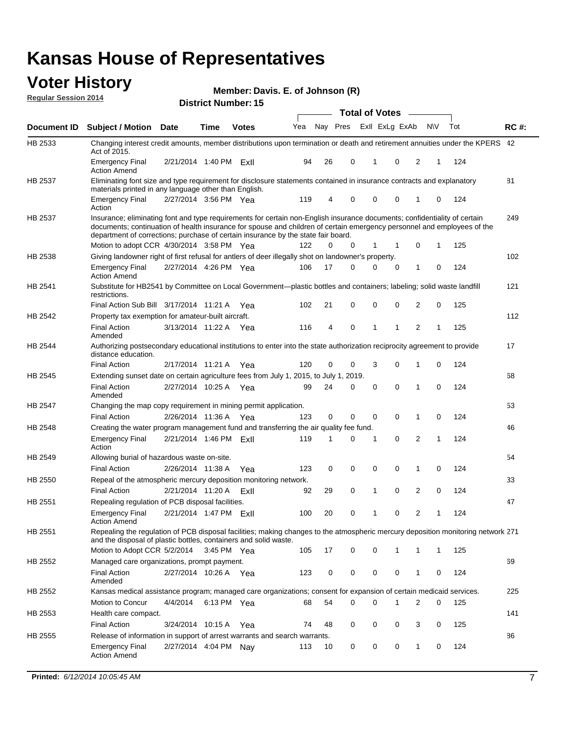#### **Voter History Regular Session 2014**

|  |  |  | Member: Davis. E. of Johnson (R) |  |
|--|--|--|----------------------------------|--|
|--|--|--|----------------------------------|--|

|                |                                                                                                                                                                                                                                                                                                                                           |                        |             | <b>DISUILLINUIIIIDEI. IJ</b> |     |    |          | <b>Total of Votes</b> |                |              |   |     |             |
|----------------|-------------------------------------------------------------------------------------------------------------------------------------------------------------------------------------------------------------------------------------------------------------------------------------------------------------------------------------------|------------------------|-------------|------------------------------|-----|----|----------|-----------------------|----------------|--------------|---|-----|-------------|
| Document ID    | <b>Subject / Motion Date</b>                                                                                                                                                                                                                                                                                                              |                        | Time        | <b>Votes</b>                 | Yea |    | Nay Pres |                       | Exll ExLg ExAb | N\V          |   | Tot | <b>RC#:</b> |
| HB 2533        | Changing interest credit amounts, member distributions upon termination or death and retirement annuities under the KPERS 42<br>Act of 2015.                                                                                                                                                                                              |                        |             |                              |     |    |          |                       |                |              |   |     |             |
|                | <b>Emergency Final</b><br><b>Action Amend</b>                                                                                                                                                                                                                                                                                             | 2/21/2014 1:40 PM FxII |             |                              | 94  | 26 | 0        | 1                     | 0              | 2            | 1 | 124 |             |
| HB 2537        | Eliminating font size and type requirement for disclosure statements contained in insurance contracts and explanatory<br>materials printed in any language other than English.                                                                                                                                                            |                        |             |                              |     |    |          |                       |                |              |   |     | 81          |
|                | <b>Emergency Final</b><br>Action                                                                                                                                                                                                                                                                                                          | 2/27/2014 3:56 PM Yea  |             |                              | 119 | 4  | 0        | $\mathbf 0$           | 0              | 1            | 0 | 124 |             |
| <b>HB 2537</b> | Insurance; eliminating font and type requirements for certain non-English insurance documents; confidentiality of certain<br>documents; continuation of health insurance for spouse and children of certain emergency personnel and employees of the<br>department of corrections; purchase of certain insurance by the state fair board. |                        |             |                              |     |    |          |                       |                |              |   |     | 249         |
|                | Motion to adopt CCR 4/30/2014 3:58 PM Yea                                                                                                                                                                                                                                                                                                 |                        |             |                              | 122 | 0  | 0        | 1                     | 1              | 0            | 1 | 125 |             |
| HB 2538        | Giving landowner right of first refusal for antlers of deer illegally shot on landowner's property.                                                                                                                                                                                                                                       |                        |             |                              |     |    |          |                       |                |              |   |     | 102         |
|                | <b>Emergency Final</b><br>Action Amend                                                                                                                                                                                                                                                                                                    | 2/27/2014 4:26 PM Yea  |             |                              | 106 | 17 | 0        | 0                     | 0              | 1            | 0 | 124 |             |
| HB 2541        | Substitute for HB2541 by Committee on Local Government—plastic bottles and containers; labeling; solid waste landfill<br>restrictions.                                                                                                                                                                                                    |                        |             |                              |     |    |          |                       |                |              |   |     | 121         |
|                | Final Action Sub Bill 3/17/2014 11:21 A Yea                                                                                                                                                                                                                                                                                               |                        |             |                              | 102 | 21 | 0        | $\mathbf 0$           | 0              | 2            | 0 | 125 |             |
| HB 2542        | Property tax exemption for amateur-built aircraft.<br><b>Final Action</b>                                                                                                                                                                                                                                                                 | 3/13/2014 11:22 A Yea  |             |                              | 116 | 4  | 0        | 1                     | 1              | 2            | 1 | 125 | 112         |
| <b>HB 2544</b> | Amended<br>Authorizing postsecondary educational institutions to enter into the state authorization reciprocity agreement to provide<br>distance education.                                                                                                                                                                               |                        |             |                              |     |    |          |                       |                |              |   |     | 17          |
|                | Final Action                                                                                                                                                                                                                                                                                                                              | 2/17/2014 11:21 A Yea  |             |                              | 120 | 0  | 0        | 3                     | 0              | 1            | 0 | 124 |             |
| HB 2545        | Extending sunset date on certain agriculture fees from July 1, 2015, to July 1, 2019.                                                                                                                                                                                                                                                     |                        |             |                              |     |    |          |                       |                |              |   |     | 68          |
|                | <b>Final Action</b><br>Amended                                                                                                                                                                                                                                                                                                            | 2/27/2014 10:25 A Yea  |             |                              | 99  | 24 | 0        | $\mathbf 0$           | $\Omega$       | 1            | 0 | 124 |             |
| HB 2547        | Changing the map copy requirement in mining permit application.                                                                                                                                                                                                                                                                           |                        |             |                              |     |    |          |                       |                |              |   |     | 53          |
|                | <b>Final Action</b>                                                                                                                                                                                                                                                                                                                       | 2/26/2014 11:36 A      |             | Yea                          | 123 | 0  | 0        | $\mathbf 0$           | 0              | 1            | 0 | 124 |             |
| <b>HB 2548</b> | Creating the water program management fund and transferring the air quality fee fund.                                                                                                                                                                                                                                                     |                        |             |                              |     |    |          |                       |                |              |   |     | 46          |
|                | Emergency Final<br>Action                                                                                                                                                                                                                                                                                                                 | 2/21/2014 1:46 PM ExII |             |                              | 119 | 1  | 0        | 1                     | 0              | 2            | 1 | 124 |             |
| HB 2549        | Allowing burial of hazardous waste on-site.                                                                                                                                                                                                                                                                                               |                        |             |                              |     |    |          |                       |                |              |   |     | 54          |
|                | <b>Final Action</b>                                                                                                                                                                                                                                                                                                                       | 2/26/2014 11:38 A      |             | Yea                          | 123 | 0  | 0        | $\mathbf 0$           | 0              | 1            | 0 | 124 |             |
| HB 2550        | Repeal of the atmospheric mercury deposition monitoring network.                                                                                                                                                                                                                                                                          |                        |             |                              |     |    |          |                       |                |              |   |     | 33          |
|                | <b>Final Action</b>                                                                                                                                                                                                                                                                                                                       | 2/21/2014 11:20 A      |             | Exll                         | 92  | 29 | 0        | 1                     | 0              | 2            | 0 | 124 |             |
| HB 2551        | Repealing regulation of PCB disposal facilities.                                                                                                                                                                                                                                                                                          |                        |             |                              |     |    |          |                       |                |              |   |     | 47          |
|                | <b>Emergency Final</b><br>Action Amend                                                                                                                                                                                                                                                                                                    | 2/21/2014 1:47 PM Exll |             |                              | 100 | 20 | 0        | 1                     | 0              | 2            | 1 | 124 |             |
| HB 2551        | Repealing the regulation of PCB disposal facilities; making changes to the atmospheric mercury deposition monitoring network 271<br>and the disposal of plastic bottles, containers and solid waste.                                                                                                                                      |                        |             |                              |     |    |          |                       |                |              |   |     |             |
|                | Motion to Adopt CCR 5/2/2014 3:45 PM Yea                                                                                                                                                                                                                                                                                                  |                        |             |                              | 105 | 17 | 0        | $\mathbf 0$           |                | 1            | 1 | 125 |             |
| HB 2552        | Managed care organizations, prompt payment.                                                                                                                                                                                                                                                                                               |                        |             |                              |     |    |          |                       |                |              |   |     | 69          |
|                | Final Action<br>Amended                                                                                                                                                                                                                                                                                                                   | 2/27/2014 10:26 A Yea  |             |                              | 123 | 0  | 0        | 0                     | 0              | 1            | 0 | 124 |             |
| HB 2552        | Kansas medical assistance program; managed care organizations; consent for expansion of certain medicaid services.                                                                                                                                                                                                                        |                        |             |                              |     |    |          |                       |                |              |   |     | 225         |
|                | Motion to Concur                                                                                                                                                                                                                                                                                                                          | 4/4/2014               | 6:13 PM Yea |                              | 68  | 54 | 0        | $\mathbf 0$           | 1              | 2            | 0 | 125 |             |
| HB 2553        | Health care compact.                                                                                                                                                                                                                                                                                                                      |                        |             |                              |     |    |          |                       |                |              |   |     | 141         |
|                | <b>Final Action</b>                                                                                                                                                                                                                                                                                                                       | 3/24/2014 10:15 A      |             | Yea                          | 74  | 48 | 0        | 0                     | 0              | 3            | 0 | 125 |             |
| HB 2555        | Release of information in support of arrest warrants and search warrants.                                                                                                                                                                                                                                                                 |                        |             |                              |     |    |          |                       |                |              |   |     | 86          |
|                | Emergency Final<br><b>Action Amend</b>                                                                                                                                                                                                                                                                                                    | 2/27/2014 4:04 PM Nay  |             |                              | 113 | 10 | 0        | 0                     | 0              | $\mathbf{1}$ | 0 | 124 |             |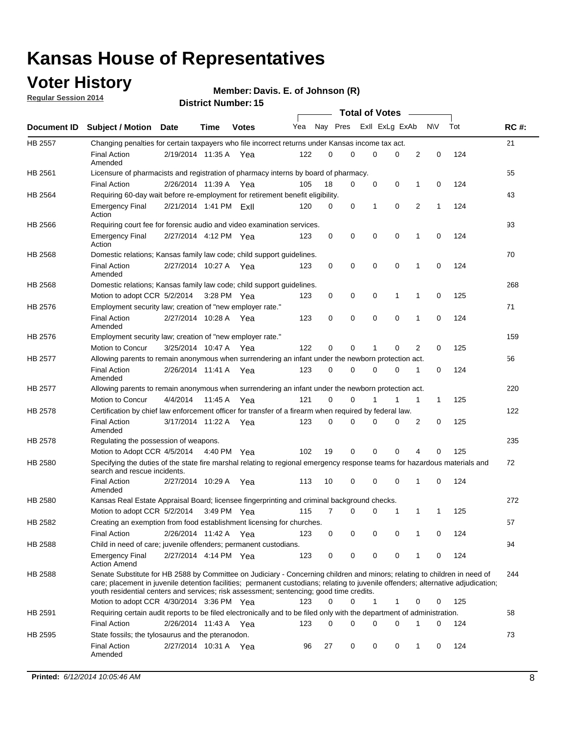### **Voter History**

**Regular Session 2014**

#### **Member: Davis. E. of Johnson (R)**

|                |                                                                                                                                                                                                                                                                                                                                                           |                        |             |              |     |          |   | <b>Total of Votes</b> |             |             |             |     |             |
|----------------|-----------------------------------------------------------------------------------------------------------------------------------------------------------------------------------------------------------------------------------------------------------------------------------------------------------------------------------------------------------|------------------------|-------------|--------------|-----|----------|---|-----------------------|-------------|-------------|-------------|-----|-------------|
|                | Document ID Subject / Motion Date                                                                                                                                                                                                                                                                                                                         |                        | Time        | <b>Votes</b> | Yea | Nay Pres |   | Exll ExLg ExAb        |             |             | <b>NV</b>   | Tot | <b>RC#:</b> |
| <b>HB 2557</b> | Changing penalties for certain taxpayers who file incorrect returns under Kansas income tax act.                                                                                                                                                                                                                                                          |                        |             |              |     |          |   |                       |             |             |             |     | 21          |
|                | <b>Final Action</b><br>Amended                                                                                                                                                                                                                                                                                                                            | 2/19/2014 11:35 A      |             | Yea          | 122 | 0        | 0 | 0                     | 0           | 2           | $\mathbf 0$ | 124 |             |
| HB 2561        | Licensure of pharmacists and registration of pharmacy interns by board of pharmacy.                                                                                                                                                                                                                                                                       |                        |             |              |     |          |   |                       |             |             |             |     | 55          |
|                | <b>Final Action</b>                                                                                                                                                                                                                                                                                                                                       | 2/26/2014 11:39 A Yea  |             |              | 105 | 18       | 0 | 0                     | 0           | 1           | 0           | 124 |             |
| HB 2564        | Requiring 60-day wait before re-employment for retirement benefit eligibility.                                                                                                                                                                                                                                                                            |                        |             |              |     |          |   |                       |             |             |             |     | 43          |
|                | <b>Emergency Final</b><br>Action                                                                                                                                                                                                                                                                                                                          | 2/21/2014 1:41 PM ExII |             |              | 120 | 0        | 0 | 1                     | 0           | 2           | 1           | 124 |             |
| HB 2566        | Requiring court fee for forensic audio and video examination services.                                                                                                                                                                                                                                                                                    |                        |             |              |     |          |   |                       |             |             |             |     | 93          |
|                | <b>Emergency Final</b><br>Action                                                                                                                                                                                                                                                                                                                          | 2/27/2014 4:12 PM Yea  |             |              | 123 | 0        | 0 | 0                     | $\mathbf 0$ | $\mathbf 1$ | 0           | 124 |             |
| HB 2568        | Domestic relations; Kansas family law code; child support guidelines.                                                                                                                                                                                                                                                                                     |                        |             |              |     |          |   |                       |             |             |             |     | 70          |
|                | <b>Final Action</b><br>Amended                                                                                                                                                                                                                                                                                                                            | 2/27/2014 10:27 A      |             | Yea          | 123 | 0        | 0 | 0                     | $\mathbf 0$ | 1           | 0           | 124 |             |
| HB 2568        | Domestic relations; Kansas family law code; child support guidelines.                                                                                                                                                                                                                                                                                     |                        |             |              |     |          |   |                       |             |             |             |     | 268         |
|                | Motion to adopt CCR 5/2/2014                                                                                                                                                                                                                                                                                                                              |                        | 3:28 PM Yea |              | 123 | 0        | 0 | 0                     | 1           | 1           | $\mathbf 0$ | 125 |             |
| HB 2576        | Employment security law; creation of "new employer rate."                                                                                                                                                                                                                                                                                                 |                        |             |              |     |          |   |                       |             |             |             |     | 71          |
|                | <b>Final Action</b><br>Amended                                                                                                                                                                                                                                                                                                                            | 2/27/2014 10:28 A Yea  |             |              | 123 | 0        | 0 | 0                     | 0           | 1           | 0           | 124 |             |
| HB 2576        | Employment security law; creation of "new employer rate."                                                                                                                                                                                                                                                                                                 |                        |             |              |     |          |   |                       |             |             |             |     | 159         |
|                | Motion to Concur                                                                                                                                                                                                                                                                                                                                          | 3/25/2014 10:47 A      |             | Yea          | 122 | 0        | 0 | 1                     | 0           | 2           | 0           | 125 |             |
| HB 2577        | Allowing parents to remain anonymous when surrendering an infant under the newborn protection act.                                                                                                                                                                                                                                                        |                        |             |              |     |          |   |                       |             |             |             |     | 56          |
|                | <b>Final Action</b><br>Amended                                                                                                                                                                                                                                                                                                                            | 2/26/2014 11:41 A Yea  |             |              | 123 | $\Omega$ | 0 | 0                     | $\Omega$    | 1           | 0           | 124 |             |
| HB 2577        | Allowing parents to remain anonymous when surrendering an infant under the newborn protection act.                                                                                                                                                                                                                                                        |                        |             |              |     |          |   |                       |             |             |             |     | 220         |
|                | Motion to Concur                                                                                                                                                                                                                                                                                                                                          | 4/4/2014               | 11:45 A     | Yea          | 121 | $\Omega$ | 0 | 1                     | 1           | 1           | 1           | 125 |             |
| HB 2578        | Certification by chief law enforcement officer for transfer of a firearm when required by federal law.                                                                                                                                                                                                                                                    |                        |             |              |     |          |   |                       |             |             |             |     | 122         |
|                | <b>Final Action</b><br>Amended                                                                                                                                                                                                                                                                                                                            | 3/17/2014 11:22 A      |             | Yea          | 123 | 0        | 0 | 0                     | 0           | 2           | 0           | 125 |             |
| HB 2578        | Regulating the possession of weapons.                                                                                                                                                                                                                                                                                                                     |                        |             |              |     |          |   |                       |             |             |             |     | 235         |
|                | Motion to Adopt CCR 4/5/2014 4:40 PM Yea                                                                                                                                                                                                                                                                                                                  |                        |             |              | 102 | 19       | 0 | 0                     | 0           | 4           | 0           | 125 |             |
| HB 2580        | Specifying the duties of the state fire marshal relating to regional emergency response teams for hazardous materials and<br>search and rescue incidents.                                                                                                                                                                                                 |                        |             |              |     |          |   |                       |             |             |             |     | 72          |
|                | <b>Final Action</b><br>Amended                                                                                                                                                                                                                                                                                                                            | 2/27/2014 10:29 A      |             | Yea          | 113 | 10       | 0 | 0                     | $\mathbf 0$ | 1           | 0           | 124 |             |
| HB 2580        | Kansas Real Estate Appraisal Board; licensee fingerprinting and criminal background checks.                                                                                                                                                                                                                                                               |                        |             |              |     |          |   |                       |             |             |             |     | 272         |
|                | Motion to adopt CCR 5/2/2014                                                                                                                                                                                                                                                                                                                              |                        |             | 3:49 PM Yea  | 115 | 7        | 0 | 0                     | 1           | 1           | 1           | 125 |             |
| HB 2582        | Creating an exemption from food establishment licensing for churches.                                                                                                                                                                                                                                                                                     |                        |             |              |     |          |   |                       |             |             |             |     | 57          |
|                | <b>Final Action</b>                                                                                                                                                                                                                                                                                                                                       | 2/26/2014 11:42 A Yea  |             |              | 123 | 0        | 0 | 0                     | 0           |             | 0           | 124 |             |
| HB 2588        | Child in need of care; juvenile offenders; permanent custodians.                                                                                                                                                                                                                                                                                          |                        |             |              |     |          |   |                       |             |             |             |     | 94          |
|                | <b>Emergency Final</b><br><b>Action Amend</b>                                                                                                                                                                                                                                                                                                             | 2/27/2014 4:14 PM Yea  |             |              | 123 | 0        | 0 | 0                     | 0           | 1           | 0           | 124 |             |
| HB 2588        | Senate Substitute for HB 2588 by Committee on Judiciary - Concerning children and minors; relating to children in need of<br>care; placement in juvenile detention facilities; permanent custodians; relating to juvenile offenders; alternative adjudication;<br>youth residential centers and services; risk assessment; sentencing; good time credits. |                        |             |              |     |          |   |                       |             |             |             |     | 244         |
|                | Motion to adopt CCR 4/30/2014 3:36 PM Yea                                                                                                                                                                                                                                                                                                                 |                        |             |              | 123 | 0        | 0 | 1                     | 1           | 0           | 0           | 125 |             |
| HB 2591        | Requiring certain audit reports to be filed electronically and to be filed only with the department of administration.                                                                                                                                                                                                                                    |                        |             |              |     |          |   |                       |             |             |             |     | 58          |
|                | <b>Final Action</b>                                                                                                                                                                                                                                                                                                                                       | 2/26/2014 11:43 A Yea  |             |              | 123 | 0        | 0 | 0                     | 0           | 1           | 0           | 124 |             |
| HB 2595        | State fossils; the tylosaurus and the pteranodon.                                                                                                                                                                                                                                                                                                         |                        |             |              |     |          |   |                       |             |             |             |     | 73          |
|                | <b>Final Action</b><br>Amended                                                                                                                                                                                                                                                                                                                            | 2/27/2014 10:31 A Yea  |             |              | 96  | 27       | 0 | 0                     | 0           | 1           | 0           | 124 |             |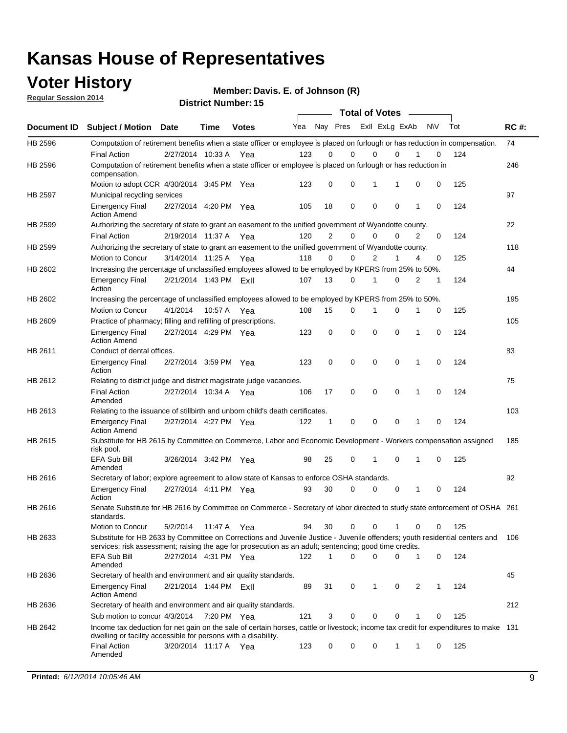### **Voter History**

**Regular Session 2014**

**Member: Davis. E. of Johnson (R)** 

|                    |                                                                                                                                                                                                                                       |                        |             | DISTILICI MUITIDEL. 19 |     |                |             | <b>Total of Votes</b> |             |                |              |           |     |             |
|--------------------|---------------------------------------------------------------------------------------------------------------------------------------------------------------------------------------------------------------------------------------|------------------------|-------------|------------------------|-----|----------------|-------------|-----------------------|-------------|----------------|--------------|-----------|-----|-------------|
| <b>Document ID</b> | <b>Subject / Motion</b>                                                                                                                                                                                                               | <b>Date</b>            | Time        | <b>Votes</b>           | Yea |                | Nay Pres    |                       |             | Exll ExLg ExAb |              | <b>NV</b> | Tot | <b>RC#:</b> |
| HB 2596            | Computation of retirement benefits when a state officer or employee is placed on furlough or has reduction in compensation.                                                                                                           |                        |             |                        |     |                |             |                       |             |                |              |           |     | 74          |
|                    | <b>Final Action</b>                                                                                                                                                                                                                   | 2/27/2014 10:33 A      |             | Yea                    | 123 | 0              | 0           |                       | 0           | $\Omega$       |              | 0         | 124 |             |
| HB 2596            | Computation of retirement benefits when a state officer or employee is placed on furlough or has reduction in<br>compensation.                                                                                                        |                        |             |                        |     |                |             |                       |             |                |              |           |     | 246         |
|                    | Motion to adopt CCR 4/30/2014 3:45 PM Yea                                                                                                                                                                                             |                        |             |                        | 123 | 0              | 0           |                       | 1           | 1              | 0            | 0         | 125 |             |
| HB 2597            | Municipal recycling services                                                                                                                                                                                                          |                        |             |                        |     |                |             |                       |             |                |              |           |     | 97          |
|                    | <b>Emergency Final</b><br><b>Action Amend</b>                                                                                                                                                                                         | 2/27/2014 4:20 PM Yea  |             |                        | 105 | 18             | $\mathbf 0$ |                       | $\mathbf 0$ | 0              | 1            | 0         | 124 |             |
| HB 2599            | Authorizing the secretary of state to grant an easement to the unified government of Wyandotte county.                                                                                                                                |                        |             |                        |     |                |             |                       |             |                |              |           |     | 22          |
|                    | <b>Final Action</b>                                                                                                                                                                                                                   | 2/19/2014 11:37 A      |             | Yea                    | 120 | $\overline{2}$ | 0           |                       | $\mathbf 0$ | $\Omega$       | 2            | 0         | 124 |             |
| HB 2599            | Authorizing the secretary of state to grant an easement to the unified government of Wyandotte county.                                                                                                                                |                        |             |                        |     |                |             |                       |             |                |              |           |     | 118         |
|                    | Motion to Concur                                                                                                                                                                                                                      | 3/14/2014 11:25 A      |             | Yea                    | 118 | $\Omega$       | 0           |                       | 2           | 1              | 4            | 0         | 125 |             |
| HB 2602            | Increasing the percentage of unclassified employees allowed to be employed by KPERS from 25% to 50%.                                                                                                                                  |                        |             |                        |     |                |             |                       |             |                |              |           |     | 44          |
|                    | <b>Emergency Final</b><br>Action                                                                                                                                                                                                      | 2/21/2014 1:43 PM Exil |             |                        | 107 | 13             | 0           |                       | 1           | $\Omega$       | 2            | 1         | 124 |             |
| HB 2602            | Increasing the percentage of unclassified employees allowed to be employed by KPERS from 25% to 50%.                                                                                                                                  |                        |             |                        |     |                |             |                       |             |                |              |           |     | 195         |
|                    | Motion to Concur                                                                                                                                                                                                                      | 4/1/2014               | 10:57 A Yea |                        | 108 | 15             | 0           |                       | 1           | 0              | 1            | 0         | 125 |             |
| HB 2609            | Practice of pharmacy; filling and refilling of prescriptions.                                                                                                                                                                         |                        |             |                        |     |                |             |                       |             |                |              |           |     | 105         |
|                    | <b>Emergency Final</b><br><b>Action Amend</b>                                                                                                                                                                                         | 2/27/2014 4:29 PM Yea  |             |                        | 123 | 0              | $\mathbf 0$ |                       | $\mathbf 0$ | 0              | 1            | 0         | 124 |             |
| HB 2611            | Conduct of dental offices.                                                                                                                                                                                                            |                        |             |                        |     |                |             |                       |             |                |              |           |     | 83          |
|                    | <b>Emergency Final</b><br>Action                                                                                                                                                                                                      | 2/27/2014 3:59 PM Yea  |             |                        | 123 | $\mathbf 0$    | $\mathbf 0$ |                       | $\mathbf 0$ | 0              | $\mathbf{1}$ | 0         | 124 |             |
| HB 2612            | Relating to district judge and district magistrate judge vacancies.                                                                                                                                                                   |                        |             |                        |     |                |             |                       |             |                |              |           |     | 75          |
|                    | <b>Final Action</b><br>Amended                                                                                                                                                                                                        | 2/27/2014 10:34 A      |             | Yea                    | 106 | 17             | 0           |                       | $\mathbf 0$ | 0              | 1            | 0         | 124 |             |
| HB 2613            | Relating to the issuance of stillbirth and unborn child's death certificates.                                                                                                                                                         |                        |             |                        |     |                |             |                       |             |                |              |           |     | 103         |
|                    | <b>Emergency Final</b><br><b>Action Amend</b>                                                                                                                                                                                         | 2/27/2014 4:27 PM Yea  |             |                        | 122 | 1              | 0           |                       | $\mathbf 0$ | 0              | $\mathbf{1}$ | 0         | 124 |             |
| HB 2615            | Substitute for HB 2615 by Committee on Commerce, Labor and Economic Development - Workers compensation assigned<br>risk pool.                                                                                                         |                        |             |                        |     |                |             |                       |             |                |              |           |     | 185         |
|                    | <b>EFA Sub Bill</b><br>Amended                                                                                                                                                                                                        | 3/26/2014 3:42 PM Yea  |             |                        | 98  | 25             | 0           |                       | 1           | 0              | 1            | 0         | 125 |             |
| HB 2616            | Secretary of labor; explore agreement to allow state of Kansas to enforce OSHA standards.                                                                                                                                             |                        |             |                        |     |                |             |                       |             |                |              |           |     | 92          |
|                    | <b>Emergency Final</b><br>Action                                                                                                                                                                                                      | 2/27/2014 4:11 PM Yea  |             |                        | 93  | 30             | 0           |                       | 0           | 0              | 1            | 0         | 124 |             |
| HB 2616            | Senate Substitute for HB 2616 by Committee on Commerce - Secretary of labor directed to study state enforcement of OSHA 261<br>standards.                                                                                             |                        |             |                        |     |                |             |                       |             |                |              |           |     |             |
|                    | <b>Motion to Concur</b>                                                                                                                                                                                                               | 5/2/2014               | 11:47 A Yea |                        | 94  | 30             | 0           |                       | 0           |                | 0            | 0         | 125 |             |
| HB 2633            | Substitute for HB 2633 by Committee on Corrections and Juvenile Justice - Juvenile offenders; youth residential centers and<br>services; risk assessment; raising the age for prosecution as an adult; sentencing; good time credits. |                        |             |                        |     |                |             |                       |             |                |              |           |     | 106         |
|                    | <b>EFA Sub Bill</b><br>Amended                                                                                                                                                                                                        | 2/27/2014 4:31 PM Yea  |             |                        | 122 | 1              | 0           |                       | $\Omega$    | 0              | $\mathbf{1}$ | 0         | 124 |             |
| HB 2636            | Secretary of health and environment and air quality standards.                                                                                                                                                                        |                        |             |                        |     |                |             |                       |             |                |              |           |     | 45          |
|                    | <b>Emergency Final</b><br><b>Action Amend</b>                                                                                                                                                                                         | 2/21/2014 1:44 PM ExII |             |                        | 89  | 31             | 0           |                       | 1           | 0              | 2            | 1         | 124 |             |
| HB 2636            | Secretary of health and environment and air quality standards.                                                                                                                                                                        |                        |             |                        |     |                |             |                       |             |                |              |           |     | 212         |
|                    | Sub motion to concur 4/3/2014 7:20 PM Yea                                                                                                                                                                                             |                        |             |                        | 121 | 3              | 0           |                       | 0           | 0              |              | 0         | 125 |             |
| HB 2642            | Income tax deduction for net gain on the sale of certain horses, cattle or livestock; income tax credit for expenditures to make 131<br>dwelling or facility accessible for persons with a disability.                                |                        |             |                        |     |                |             |                       |             |                |              |           |     |             |
|                    | <b>Final Action</b><br>Amended                                                                                                                                                                                                        | 3/20/2014 11:17 A Yea  |             |                        | 123 | 0              | 0           |                       | 0           | 1              | 1            | 0         | 125 |             |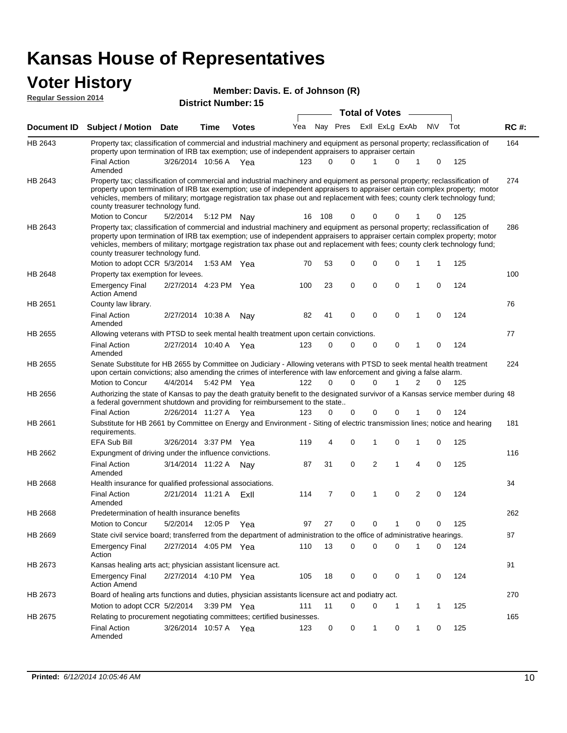## **Voter History**

|                             |                                                                                                                                                                                                                                                                                                                                                                                                                               |                       |               | Member: Davis. E. of Johnson (R) |                       |          |          |  |   |                |           |   |     |             |
|-----------------------------|-------------------------------------------------------------------------------------------------------------------------------------------------------------------------------------------------------------------------------------------------------------------------------------------------------------------------------------------------------------------------------------------------------------------------------|-----------------------|---------------|----------------------------------|-----------------------|----------|----------|--|---|----------------|-----------|---|-----|-------------|
| <b>Regular Session 2014</b> |                                                                                                                                                                                                                                                                                                                                                                                                                               |                       |               | <b>District Number: 15</b>       |                       |          |          |  |   |                |           |   |     |             |
|                             |                                                                                                                                                                                                                                                                                                                                                                                                                               |                       |               |                                  | <b>Total of Votes</b> |          |          |  |   |                |           |   |     |             |
| <b>Document ID</b>          | Subject / Motion Date                                                                                                                                                                                                                                                                                                                                                                                                         |                       | Time          | <b>Votes</b>                     | Yea                   | Nay Pres |          |  |   | Exil ExLg ExAb | <b>NV</b> |   | Tot | <b>RC#:</b> |
| HB 2643                     | Property tax; classification of commercial and industrial machinery and equipment as personal property; reclassification of<br>property upon termination of IRB tax exemption; use of independent appraisers to appraiser certain                                                                                                                                                                                             |                       |               |                                  |                       |          |          |  |   |                |           |   |     | 164         |
|                             | <b>Final Action</b><br>Amended                                                                                                                                                                                                                                                                                                                                                                                                | 3/26/2014 10:56 A Yea |               |                                  | 123                   | $\Omega$ | 0        |  | 1 | 0              | 1         | 0 | 125 |             |
| HB 2643                     | Property tax; classification of commercial and industrial machinery and equipment as personal property; reclassification of<br>property upon termination of IRB tax exemption; use of independent appraisers to appraiser certain complex property; motor<br>vehicles, members of military; mortgage registration tax phase out and replacement with fees; county clerk technology fund;<br>county treasurer technology fund. |                       |               |                                  |                       |          |          |  |   |                |           |   |     | 274         |
|                             | Motion to Concur                                                                                                                                                                                                                                                                                                                                                                                                              | 5/2/2014              | 5:12 PM Nay   |                                  | 16                    | 108      | 0        |  | 0 | 0              |           | 0 | 125 |             |
| HB 2643                     | Property tax; classification of commercial and industrial machinery and equipment as personal property; reclassification of<br>property upon termination of IRB tax exemption; use of independent appraisers to appraiser certain complex property; motor<br>vehicles, members of military; mortgage registration tax phase out and replacement with fees; county clerk technology fund;<br>county treasurer technology fund. |                       |               |                                  |                       |          |          |  |   |                |           |   |     | 286         |
|                             | Motion to adopt CCR 5/3/2014                                                                                                                                                                                                                                                                                                                                                                                                  |                       | 1:53 AM $Yea$ |                                  | 70                    | 53       | 0        |  | 0 | 0              |           | 1 | 125 |             |
| HB 2648                     | Property tax exemption for levees.                                                                                                                                                                                                                                                                                                                                                                                            |                       |               |                                  |                       |          |          |  |   |                |           |   |     | 100         |
|                             | <b>Emergency Final</b><br><b>Action Amend</b>                                                                                                                                                                                                                                                                                                                                                                                 | 2/27/2014 4:23 PM Yea |               |                                  | 100                   | 23       | 0        |  | 0 | 0              | 1         | 0 | 124 |             |
| HB 2651                     | County law library.                                                                                                                                                                                                                                                                                                                                                                                                           |                       |               |                                  |                       |          |          |  |   |                |           |   |     | 76          |
|                             | <b>Final Action</b><br>Amended                                                                                                                                                                                                                                                                                                                                                                                                | 2/27/2014 10:38 A     |               | Nav                              | 82                    | 41       | 0        |  | 0 | 0              | 1         | 0 | 124 |             |
| HB 2655                     | Allowing veterans with PTSD to seek mental health treatment upon certain convictions.                                                                                                                                                                                                                                                                                                                                         |                       |               |                                  |                       |          |          |  |   |                |           |   |     | 77          |
|                             | <b>Final Action</b><br>Amended                                                                                                                                                                                                                                                                                                                                                                                                | 2/27/2014 10:40 A     |               | Yea                              | 123                   | 0        | 0        |  | 0 | 0              | 1         | 0 | 124 |             |
| HB 2655                     | Senate Substitute for HB 2655 by Committee on Judiciary - Allowing veterans with PTSD to seek mental health treatment<br>upon certain convictions; also amending the crimes of interference with law enforcement and giving a false alarm.                                                                                                                                                                                    |                       |               |                                  |                       |          |          |  |   |                |           |   |     | 224         |
|                             | Motion to Concur                                                                                                                                                                                                                                                                                                                                                                                                              | 4/4/2014              | 5:42 PM Yea   |                                  | 122                   | 0        | $\Omega$ |  | 0 |                | 2         | 0 | 125 |             |
| HB 2656                     | Authorizing the state of Kansas to pay the death gratuity benefit to the designated survivor of a Kansas service member during 48<br>a federal government shutdown and providing for reimbursement to the state                                                                                                                                                                                                               |                       |               |                                  |                       |          |          |  |   |                |           |   |     |             |
|                             | <b>Final Action</b>                                                                                                                                                                                                                                                                                                                                                                                                           | 2/26/2014 11:27 A Yea |               |                                  | 123                   | 0        | 0        |  | 0 | 0              |           | 0 | 124 |             |
| HB 2661                     | Substitute for HB 2661 by Committee on Energy and Environment - Siting of electric transmission lines; notice and hearing<br>requirements.                                                                                                                                                                                                                                                                                    |                       |               |                                  |                       |          |          |  |   |                |           |   |     | 181         |
|                             | <b>EFA Sub Bill</b>                                                                                                                                                                                                                                                                                                                                                                                                           | 3/26/2014 3:37 PM     |               | Yea                              | 119                   | 4        | 0        |  | 1 | 0              | 1         | 0 | 125 |             |
| HB 2662                     | Expungment of driving under the influence convictions.                                                                                                                                                                                                                                                                                                                                                                        |                       |               |                                  |                       |          |          |  |   |                |           |   |     | 116         |
|                             | <b>Final Action</b><br>Amended                                                                                                                                                                                                                                                                                                                                                                                                | 3/14/2014 11:22 A     |               | Nav                              | 87                    | 31       | 0        |  | 2 | 1              | 4         | 0 | 125 |             |
| HB 2668                     | Health insurance for qualified professional associations.                                                                                                                                                                                                                                                                                                                                                                     |                       |               |                                  |                       |          |          |  |   |                |           |   |     | 34          |
|                             | <b>Final Action</b><br>Amended                                                                                                                                                                                                                                                                                                                                                                                                | 2/21/2014 11:21 A     |               | ExII                             | 114                   | 7        | 0        |  | 1 | 0              | 2         | 0 | 124 |             |
| HB 2668                     | Predetermination of health insurance benefits                                                                                                                                                                                                                                                                                                                                                                                 |                       |               |                                  |                       |          |          |  |   |                |           |   |     | 262         |
|                             | Motion to Concur                                                                                                                                                                                                                                                                                                                                                                                                              | 5/2/2014              | 12:05 P Yea   |                                  | 97                    | 27       | 0        |  | 0 | 1              | 0         | 0 | 125 |             |
| HB 2669                     | State civil service board; transferred from the department of administration to the office of administrative hearings.                                                                                                                                                                                                                                                                                                        |                       |               |                                  |                       |          |          |  |   |                |           |   |     | 87          |
|                             | Emergency Final<br>Action                                                                                                                                                                                                                                                                                                                                                                                                     | 2/27/2014 4:05 PM Yea |               |                                  | 110                   | 13       | 0        |  | 0 | $\mathbf 0$    | 1         | 0 | 124 |             |
| HB 2673                     | Kansas healing arts act; physician assistant licensure act.                                                                                                                                                                                                                                                                                                                                                                   |                       |               |                                  |                       |          |          |  |   |                |           |   |     | 91          |
|                             | Emergency Final<br><b>Action Amend</b>                                                                                                                                                                                                                                                                                                                                                                                        | 2/27/2014 4:10 PM Yea |               |                                  | 105                   | 18       | 0        |  | 0 | 0              | 1         | 0 | 124 |             |
| HB 2673                     | Board of healing arts functions and duties, physician assistants licensure act and podiatry act.                                                                                                                                                                                                                                                                                                                              |                       |               |                                  |                       |          |          |  |   |                |           |   |     | 270         |
|                             | Motion to adopt CCR 5/2/2014                                                                                                                                                                                                                                                                                                                                                                                                  |                       | 3:39 PM Yea   |                                  | 111                   | 11       | 0        |  | 0 | 1              | 1         | 1 | 125 |             |
| HB 2675                     | Relating to procurement negotiating committees; certified businesses.                                                                                                                                                                                                                                                                                                                                                         |                       |               |                                  |                       |          |          |  |   |                |           |   |     | 165         |
|                             | Final Action<br>Amended                                                                                                                                                                                                                                                                                                                                                                                                       | 3/26/2014 10:57 A Yea |               |                                  | 123                   | 0        | 0        |  | 1 | 0              | 1         | 0 | 125 |             |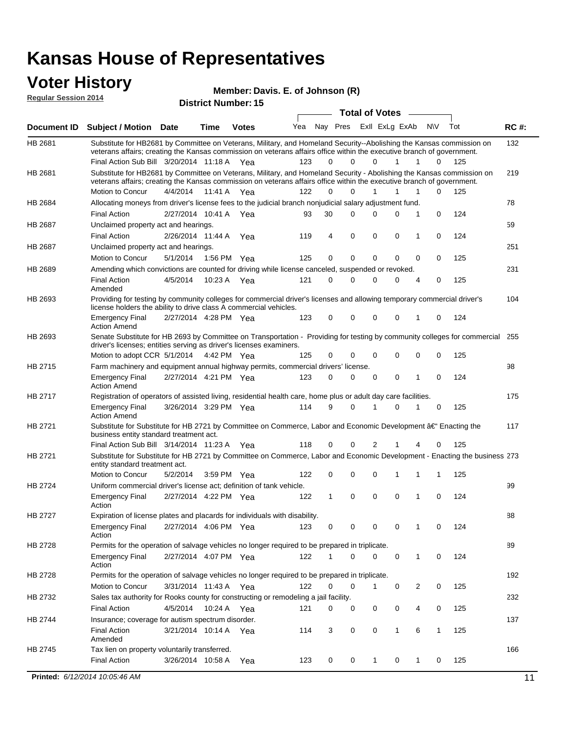#### **Voter History Regular Session 2014**

**Member: Davis. E. of Johnson (R)** 

| <b>Total of Votes</b><br>Nay Pres Exll ExLg ExAb<br>Yea<br>N\V<br>Tot<br><b>RC#:</b><br><b>Document ID</b><br><b>Subject / Motion Date</b><br><b>Time</b><br><b>Votes</b><br>132<br>HB 2681<br>Substitute for HB2681 by Committee on Veterans, Military, and Homeland Security--Abolishing the Kansas commission on<br>veterans affairs; creating the Kansas commission on veterans affairs office within the executive branch of government.<br>Final Action Sub Bill 3/20/2014 11:18 A Yea<br>123<br>0<br>$\Omega$<br>$\Omega$<br>125<br>1<br>1<br>$\Omega$<br>Substitute for HB2681 by Committee on Veterans, Military, and Homeland Security - Abolishing the Kansas commission on<br>HB 2681<br>219<br>veterans affairs; creating the Kansas commission on veterans affairs office within the executive branch of government.<br>Motion to Concur<br>4/4/2014 11:41 A Yea<br>122<br>0<br>$\Omega$<br>1<br>$\Omega$<br>125<br>1<br>1<br>78<br>Allocating moneys from driver's license fees to the judicial branch nonjudicial salary adjustment fund.<br>HB 2684<br>$\mathbf 0$<br>124<br><b>Final Action</b><br>2/27/2014 10:41 A Yea<br>30<br>$\Omega$<br>$\Omega$<br>0<br>1<br>93<br>59<br>HB 2687<br>Unclaimed property act and hearings.<br>$\mathbf 0$<br>$\mathbf 0$<br><b>Final Action</b><br>2/26/2014 11:44 A<br>119<br>4<br>0<br>0<br>124<br>Yea<br>1<br>Unclaimed property act and hearings.<br>251<br>HB 2687<br>0<br>0<br>Motion to Concur<br>5/1/2014<br>1:56 PM Yea<br>125<br>0<br>0<br>0<br>0<br>125<br>HB 2689<br>Amending which convictions are counted for driving while license canceled, suspended or revoked.<br>231<br>125<br><b>Final Action</b><br>4/5/2014<br>10:23 A<br>121<br>0<br>$\Omega$<br>$\Omega$<br>0<br>$\overline{4}$<br>0<br>Yea<br>Amended<br>Providing for testing by community colleges for commercial driver's licenses and allowing temporary commercial driver's<br>HB 2693<br>104<br>license holders the ability to drive class A commercial vehicles.<br>2/27/2014 4:28 PM Yea<br>123<br>0<br>0<br>$\Omega$<br>0<br>0<br>124<br><b>Emergency Final</b><br>1<br><b>Action Amend</b><br>Senate Substitute for HB 2693 by Committee on Transportation - Providing for testing by community colleges for commercial 255<br>HB 2693<br>driver's licenses; entities serving as driver's licenses examiners.<br>Motion to adopt CCR 5/1/2014 4:42 PM Yea<br>0<br>0<br>0<br>0<br>125<br>125<br>0<br>0<br>HB 2715<br>98<br>Farm machinery and equipment annual highway permits, commercial drivers' license.<br>2/27/2014 4:21 PM Yea<br>123<br>0<br>0<br>0<br>0<br>124<br><b>Emergency Final</b><br>0<br>1<br><b>Action Amend</b><br>HB 2717<br>Registration of operators of assisted living, residential health care, home plus or adult day care facilities.<br>175<br>3/26/2014 3:29 PM Yea<br>114<br>9<br>$\Omega$<br>0<br>125<br><b>Emergency Final</b><br>1<br>0<br>1<br><b>Action Amend</b><br>HB 2721<br>Substitute for Substitute for HB 2721 by Committee on Commerce, Labor and Economic Development †Enacting the<br>117<br>business entity standard treatment act.<br>118<br>Final Action Sub Bill 3/14/2014 11:23 A Yea<br>0<br>$\Omega$<br>2<br>0<br>125<br>HB 2721<br>Substitute for Substitute for HB 2721 by Committee on Commerce, Labor and Economic Development - Enacting the business 273<br>entity standard treatment act.<br>Motion to Concur<br>5/2/2014<br>122<br>0<br>0<br>0<br>125<br>3:59 PM Yea<br>1<br>1<br>1<br><b>HB 2724</b><br>99<br>Uniform commercial driver's license act; definition of tank vehicle.<br>2/27/2014 4:22 PM Yea<br>0<br>0<br>0<br>0<br>124<br><b>Emergency Final</b><br>122<br>1<br>1<br>Action<br>HB 2727<br>Expiration of license plates and placards for individuals with disability.<br>88<br><b>Emergency Final</b><br>2/27/2014 4:06 PM Yea<br>123<br>0<br>124<br>0<br>0<br>0<br>1<br>0<br>Action<br>HB 2728<br>Permits for the operation of salvage vehicles no longer required to be prepared in triplicate.<br>89<br>2/27/2014 4:07 PM Yea<br>122<br>0<br>0<br>124<br><b>Emergency Final</b><br>0<br>0<br>1<br>Action<br>192<br>HB 2728<br>Permits for the operation of salvage vehicles no longer required to be prepared in triplicate.<br>Motion to Concur<br>122<br>0<br>0<br>2<br>0<br>125<br>3/31/2014 11:43 A Yea<br>0<br>1<br>Sales tax authority for Rooks county for constructing or remodeling a jail facility.<br>232<br>HB 2732<br><b>Final Action</b><br>4/5/2014<br>10:24 A Yea<br>0<br>0<br>0<br>125<br>121<br>0<br>0<br>4<br>Insurance; coverage for autism spectrum disorder.<br>137<br>HB 2744<br>$\mathbf{1}$<br>6<br>125<br><b>Final Action</b><br>3/21/2014 10:14 A Yea<br>114<br>3<br>0<br>0<br>$\mathbf{1}$<br>Amended<br>166<br>HB 2745<br>Tax lien on property voluntarily transferred.<br><b>Final Action</b><br>125<br>3/26/2014 10:58 A<br>123<br>0<br>0<br>1<br>0<br>0<br>Yea<br>1<br>Printed: 6/12/2014 10:05:46 AM<br>11 | noguidi ocoololi 4017 |  | <b>District Number: 15</b> |  |  |  |  |  |
|---------------------------------------------------------------------------------------------------------------------------------------------------------------------------------------------------------------------------------------------------------------------------------------------------------------------------------------------------------------------------------------------------------------------------------------------------------------------------------------------------------------------------------------------------------------------------------------------------------------------------------------------------------------------------------------------------------------------------------------------------------------------------------------------------------------------------------------------------------------------------------------------------------------------------------------------------------------------------------------------------------------------------------------------------------------------------------------------------------------------------------------------------------------------------------------------------------------------------------------------------------------------------------------------------------------------------------------------------------------------------------------------------------------------------------------------------------------------------------------------------------------------------------------------------------------------------------------------------------------------------------------------------------------------------------------------------------------------------------------------------------------------------------------------------------------------------------------------------------------------------------------------------------------------------------------------------------------------------------------------------------------------------------------------------------------------------------------------------------------------------------------------------------------------------------------------------------------------------------------------------------------------------------------------------------------------------------------------------------------------------------------------------------------------------------------------------------------------------------------------------------------------------------------------------------------------------------------------------------------------------------------------------------------------------------------------------------------------------------------------------------------------------------------------------------------------------------------------------------------------------------------------------------------------------------------------------------------------------------------------------------------------------------------------------------------------------------------------------------------------------------------------------------------------------------------------------------------------------------------------------------------------------------------------------------------------------------------------------------------------------------------------------------------------------------------------------------------------------------------------------------------------------------------------------------------------------------------------------------------------------------------------------------------------------------------------------------------------------------------------------------------------------------------------------------------------------------------------------------------------------------------------------------------------------------------------------------------------------------------------------------------------------------------------------------------------------------------------------------------------------------------------------------------------------------------------------------------------------------------------------------------------------------------------------------------------------------------------------------------------------------------------------------------------------------------------------------------------------------------------------------------------------------------------------------------------------------------------------------------------------------------------------------------------------------------------------------------------------------------------------------------------------------------------------------------------------------------------------------------------------------------------------------------------------------------------------------------------|-----------------------|--|----------------------------|--|--|--|--|--|
|                                                                                                                                                                                                                                                                                                                                                                                                                                                                                                                                                                                                                                                                                                                                                                                                                                                                                                                                                                                                                                                                                                                                                                                                                                                                                                                                                                                                                                                                                                                                                                                                                                                                                                                                                                                                                                                                                                                                                                                                                                                                                                                                                                                                                                                                                                                                                                                                                                                                                                                                                                                                                                                                                                                                                                                                                                                                                                                                                                                                                                                                                                                                                                                                                                                                                                                                                                                                                                                                                                                                                                                                                                                                                                                                                                                                                                                                                                                                                                                                                                                                                                                                                                                                                                                                                                                                                                                                                                                                                                                                                                                                                                                                                                                                                                                                                                                                                                                                                                     |                       |  |                            |  |  |  |  |  |
|                                                                                                                                                                                                                                                                                                                                                                                                                                                                                                                                                                                                                                                                                                                                                                                                                                                                                                                                                                                                                                                                                                                                                                                                                                                                                                                                                                                                                                                                                                                                                                                                                                                                                                                                                                                                                                                                                                                                                                                                                                                                                                                                                                                                                                                                                                                                                                                                                                                                                                                                                                                                                                                                                                                                                                                                                                                                                                                                                                                                                                                                                                                                                                                                                                                                                                                                                                                                                                                                                                                                                                                                                                                                                                                                                                                                                                                                                                                                                                                                                                                                                                                                                                                                                                                                                                                                                                                                                                                                                                                                                                                                                                                                                                                                                                                                                                                                                                                                                                     |                       |  |                            |  |  |  |  |  |
|                                                                                                                                                                                                                                                                                                                                                                                                                                                                                                                                                                                                                                                                                                                                                                                                                                                                                                                                                                                                                                                                                                                                                                                                                                                                                                                                                                                                                                                                                                                                                                                                                                                                                                                                                                                                                                                                                                                                                                                                                                                                                                                                                                                                                                                                                                                                                                                                                                                                                                                                                                                                                                                                                                                                                                                                                                                                                                                                                                                                                                                                                                                                                                                                                                                                                                                                                                                                                                                                                                                                                                                                                                                                                                                                                                                                                                                                                                                                                                                                                                                                                                                                                                                                                                                                                                                                                                                                                                                                                                                                                                                                                                                                                                                                                                                                                                                                                                                                                                     |                       |  |                            |  |  |  |  |  |
|                                                                                                                                                                                                                                                                                                                                                                                                                                                                                                                                                                                                                                                                                                                                                                                                                                                                                                                                                                                                                                                                                                                                                                                                                                                                                                                                                                                                                                                                                                                                                                                                                                                                                                                                                                                                                                                                                                                                                                                                                                                                                                                                                                                                                                                                                                                                                                                                                                                                                                                                                                                                                                                                                                                                                                                                                                                                                                                                                                                                                                                                                                                                                                                                                                                                                                                                                                                                                                                                                                                                                                                                                                                                                                                                                                                                                                                                                                                                                                                                                                                                                                                                                                                                                                                                                                                                                                                                                                                                                                                                                                                                                                                                                                                                                                                                                                                                                                                                                                     |                       |  |                            |  |  |  |  |  |
|                                                                                                                                                                                                                                                                                                                                                                                                                                                                                                                                                                                                                                                                                                                                                                                                                                                                                                                                                                                                                                                                                                                                                                                                                                                                                                                                                                                                                                                                                                                                                                                                                                                                                                                                                                                                                                                                                                                                                                                                                                                                                                                                                                                                                                                                                                                                                                                                                                                                                                                                                                                                                                                                                                                                                                                                                                                                                                                                                                                                                                                                                                                                                                                                                                                                                                                                                                                                                                                                                                                                                                                                                                                                                                                                                                                                                                                                                                                                                                                                                                                                                                                                                                                                                                                                                                                                                                                                                                                                                                                                                                                                                                                                                                                                                                                                                                                                                                                                                                     |                       |  |                            |  |  |  |  |  |
|                                                                                                                                                                                                                                                                                                                                                                                                                                                                                                                                                                                                                                                                                                                                                                                                                                                                                                                                                                                                                                                                                                                                                                                                                                                                                                                                                                                                                                                                                                                                                                                                                                                                                                                                                                                                                                                                                                                                                                                                                                                                                                                                                                                                                                                                                                                                                                                                                                                                                                                                                                                                                                                                                                                                                                                                                                                                                                                                                                                                                                                                                                                                                                                                                                                                                                                                                                                                                                                                                                                                                                                                                                                                                                                                                                                                                                                                                                                                                                                                                                                                                                                                                                                                                                                                                                                                                                                                                                                                                                                                                                                                                                                                                                                                                                                                                                                                                                                                                                     |                       |  |                            |  |  |  |  |  |
|                                                                                                                                                                                                                                                                                                                                                                                                                                                                                                                                                                                                                                                                                                                                                                                                                                                                                                                                                                                                                                                                                                                                                                                                                                                                                                                                                                                                                                                                                                                                                                                                                                                                                                                                                                                                                                                                                                                                                                                                                                                                                                                                                                                                                                                                                                                                                                                                                                                                                                                                                                                                                                                                                                                                                                                                                                                                                                                                                                                                                                                                                                                                                                                                                                                                                                                                                                                                                                                                                                                                                                                                                                                                                                                                                                                                                                                                                                                                                                                                                                                                                                                                                                                                                                                                                                                                                                                                                                                                                                                                                                                                                                                                                                                                                                                                                                                                                                                                                                     |                       |  |                            |  |  |  |  |  |
|                                                                                                                                                                                                                                                                                                                                                                                                                                                                                                                                                                                                                                                                                                                                                                                                                                                                                                                                                                                                                                                                                                                                                                                                                                                                                                                                                                                                                                                                                                                                                                                                                                                                                                                                                                                                                                                                                                                                                                                                                                                                                                                                                                                                                                                                                                                                                                                                                                                                                                                                                                                                                                                                                                                                                                                                                                                                                                                                                                                                                                                                                                                                                                                                                                                                                                                                                                                                                                                                                                                                                                                                                                                                                                                                                                                                                                                                                                                                                                                                                                                                                                                                                                                                                                                                                                                                                                                                                                                                                                                                                                                                                                                                                                                                                                                                                                                                                                                                                                     |                       |  |                            |  |  |  |  |  |
|                                                                                                                                                                                                                                                                                                                                                                                                                                                                                                                                                                                                                                                                                                                                                                                                                                                                                                                                                                                                                                                                                                                                                                                                                                                                                                                                                                                                                                                                                                                                                                                                                                                                                                                                                                                                                                                                                                                                                                                                                                                                                                                                                                                                                                                                                                                                                                                                                                                                                                                                                                                                                                                                                                                                                                                                                                                                                                                                                                                                                                                                                                                                                                                                                                                                                                                                                                                                                                                                                                                                                                                                                                                                                                                                                                                                                                                                                                                                                                                                                                                                                                                                                                                                                                                                                                                                                                                                                                                                                                                                                                                                                                                                                                                                                                                                                                                                                                                                                                     |                       |  |                            |  |  |  |  |  |
|                                                                                                                                                                                                                                                                                                                                                                                                                                                                                                                                                                                                                                                                                                                                                                                                                                                                                                                                                                                                                                                                                                                                                                                                                                                                                                                                                                                                                                                                                                                                                                                                                                                                                                                                                                                                                                                                                                                                                                                                                                                                                                                                                                                                                                                                                                                                                                                                                                                                                                                                                                                                                                                                                                                                                                                                                                                                                                                                                                                                                                                                                                                                                                                                                                                                                                                                                                                                                                                                                                                                                                                                                                                                                                                                                                                                                                                                                                                                                                                                                                                                                                                                                                                                                                                                                                                                                                                                                                                                                                                                                                                                                                                                                                                                                                                                                                                                                                                                                                     |                       |  |                            |  |  |  |  |  |
|                                                                                                                                                                                                                                                                                                                                                                                                                                                                                                                                                                                                                                                                                                                                                                                                                                                                                                                                                                                                                                                                                                                                                                                                                                                                                                                                                                                                                                                                                                                                                                                                                                                                                                                                                                                                                                                                                                                                                                                                                                                                                                                                                                                                                                                                                                                                                                                                                                                                                                                                                                                                                                                                                                                                                                                                                                                                                                                                                                                                                                                                                                                                                                                                                                                                                                                                                                                                                                                                                                                                                                                                                                                                                                                                                                                                                                                                                                                                                                                                                                                                                                                                                                                                                                                                                                                                                                                                                                                                                                                                                                                                                                                                                                                                                                                                                                                                                                                                                                     |                       |  |                            |  |  |  |  |  |
|                                                                                                                                                                                                                                                                                                                                                                                                                                                                                                                                                                                                                                                                                                                                                                                                                                                                                                                                                                                                                                                                                                                                                                                                                                                                                                                                                                                                                                                                                                                                                                                                                                                                                                                                                                                                                                                                                                                                                                                                                                                                                                                                                                                                                                                                                                                                                                                                                                                                                                                                                                                                                                                                                                                                                                                                                                                                                                                                                                                                                                                                                                                                                                                                                                                                                                                                                                                                                                                                                                                                                                                                                                                                                                                                                                                                                                                                                                                                                                                                                                                                                                                                                                                                                                                                                                                                                                                                                                                                                                                                                                                                                                                                                                                                                                                                                                                                                                                                                                     |                       |  |                            |  |  |  |  |  |
|                                                                                                                                                                                                                                                                                                                                                                                                                                                                                                                                                                                                                                                                                                                                                                                                                                                                                                                                                                                                                                                                                                                                                                                                                                                                                                                                                                                                                                                                                                                                                                                                                                                                                                                                                                                                                                                                                                                                                                                                                                                                                                                                                                                                                                                                                                                                                                                                                                                                                                                                                                                                                                                                                                                                                                                                                                                                                                                                                                                                                                                                                                                                                                                                                                                                                                                                                                                                                                                                                                                                                                                                                                                                                                                                                                                                                                                                                                                                                                                                                                                                                                                                                                                                                                                                                                                                                                                                                                                                                                                                                                                                                                                                                                                                                                                                                                                                                                                                                                     |                       |  |                            |  |  |  |  |  |
|                                                                                                                                                                                                                                                                                                                                                                                                                                                                                                                                                                                                                                                                                                                                                                                                                                                                                                                                                                                                                                                                                                                                                                                                                                                                                                                                                                                                                                                                                                                                                                                                                                                                                                                                                                                                                                                                                                                                                                                                                                                                                                                                                                                                                                                                                                                                                                                                                                                                                                                                                                                                                                                                                                                                                                                                                                                                                                                                                                                                                                                                                                                                                                                                                                                                                                                                                                                                                                                                                                                                                                                                                                                                                                                                                                                                                                                                                                                                                                                                                                                                                                                                                                                                                                                                                                                                                                                                                                                                                                                                                                                                                                                                                                                                                                                                                                                                                                                                                                     |                       |  |                            |  |  |  |  |  |
|                                                                                                                                                                                                                                                                                                                                                                                                                                                                                                                                                                                                                                                                                                                                                                                                                                                                                                                                                                                                                                                                                                                                                                                                                                                                                                                                                                                                                                                                                                                                                                                                                                                                                                                                                                                                                                                                                                                                                                                                                                                                                                                                                                                                                                                                                                                                                                                                                                                                                                                                                                                                                                                                                                                                                                                                                                                                                                                                                                                                                                                                                                                                                                                                                                                                                                                                                                                                                                                                                                                                                                                                                                                                                                                                                                                                                                                                                                                                                                                                                                                                                                                                                                                                                                                                                                                                                                                                                                                                                                                                                                                                                                                                                                                                                                                                                                                                                                                                                                     |                       |  |                            |  |  |  |  |  |
|                                                                                                                                                                                                                                                                                                                                                                                                                                                                                                                                                                                                                                                                                                                                                                                                                                                                                                                                                                                                                                                                                                                                                                                                                                                                                                                                                                                                                                                                                                                                                                                                                                                                                                                                                                                                                                                                                                                                                                                                                                                                                                                                                                                                                                                                                                                                                                                                                                                                                                                                                                                                                                                                                                                                                                                                                                                                                                                                                                                                                                                                                                                                                                                                                                                                                                                                                                                                                                                                                                                                                                                                                                                                                                                                                                                                                                                                                                                                                                                                                                                                                                                                                                                                                                                                                                                                                                                                                                                                                                                                                                                                                                                                                                                                                                                                                                                                                                                                                                     |                       |  |                            |  |  |  |  |  |
|                                                                                                                                                                                                                                                                                                                                                                                                                                                                                                                                                                                                                                                                                                                                                                                                                                                                                                                                                                                                                                                                                                                                                                                                                                                                                                                                                                                                                                                                                                                                                                                                                                                                                                                                                                                                                                                                                                                                                                                                                                                                                                                                                                                                                                                                                                                                                                                                                                                                                                                                                                                                                                                                                                                                                                                                                                                                                                                                                                                                                                                                                                                                                                                                                                                                                                                                                                                                                                                                                                                                                                                                                                                                                                                                                                                                                                                                                                                                                                                                                                                                                                                                                                                                                                                                                                                                                                                                                                                                                                                                                                                                                                                                                                                                                                                                                                                                                                                                                                     |                       |  |                            |  |  |  |  |  |
|                                                                                                                                                                                                                                                                                                                                                                                                                                                                                                                                                                                                                                                                                                                                                                                                                                                                                                                                                                                                                                                                                                                                                                                                                                                                                                                                                                                                                                                                                                                                                                                                                                                                                                                                                                                                                                                                                                                                                                                                                                                                                                                                                                                                                                                                                                                                                                                                                                                                                                                                                                                                                                                                                                                                                                                                                                                                                                                                                                                                                                                                                                                                                                                                                                                                                                                                                                                                                                                                                                                                                                                                                                                                                                                                                                                                                                                                                                                                                                                                                                                                                                                                                                                                                                                                                                                                                                                                                                                                                                                                                                                                                                                                                                                                                                                                                                                                                                                                                                     |                       |  |                            |  |  |  |  |  |
|                                                                                                                                                                                                                                                                                                                                                                                                                                                                                                                                                                                                                                                                                                                                                                                                                                                                                                                                                                                                                                                                                                                                                                                                                                                                                                                                                                                                                                                                                                                                                                                                                                                                                                                                                                                                                                                                                                                                                                                                                                                                                                                                                                                                                                                                                                                                                                                                                                                                                                                                                                                                                                                                                                                                                                                                                                                                                                                                                                                                                                                                                                                                                                                                                                                                                                                                                                                                                                                                                                                                                                                                                                                                                                                                                                                                                                                                                                                                                                                                                                                                                                                                                                                                                                                                                                                                                                                                                                                                                                                                                                                                                                                                                                                                                                                                                                                                                                                                                                     |                       |  |                            |  |  |  |  |  |
|                                                                                                                                                                                                                                                                                                                                                                                                                                                                                                                                                                                                                                                                                                                                                                                                                                                                                                                                                                                                                                                                                                                                                                                                                                                                                                                                                                                                                                                                                                                                                                                                                                                                                                                                                                                                                                                                                                                                                                                                                                                                                                                                                                                                                                                                                                                                                                                                                                                                                                                                                                                                                                                                                                                                                                                                                                                                                                                                                                                                                                                                                                                                                                                                                                                                                                                                                                                                                                                                                                                                                                                                                                                                                                                                                                                                                                                                                                                                                                                                                                                                                                                                                                                                                                                                                                                                                                                                                                                                                                                                                                                                                                                                                                                                                                                                                                                                                                                                                                     |                       |  |                            |  |  |  |  |  |
|                                                                                                                                                                                                                                                                                                                                                                                                                                                                                                                                                                                                                                                                                                                                                                                                                                                                                                                                                                                                                                                                                                                                                                                                                                                                                                                                                                                                                                                                                                                                                                                                                                                                                                                                                                                                                                                                                                                                                                                                                                                                                                                                                                                                                                                                                                                                                                                                                                                                                                                                                                                                                                                                                                                                                                                                                                                                                                                                                                                                                                                                                                                                                                                                                                                                                                                                                                                                                                                                                                                                                                                                                                                                                                                                                                                                                                                                                                                                                                                                                                                                                                                                                                                                                                                                                                                                                                                                                                                                                                                                                                                                                                                                                                                                                                                                                                                                                                                                                                     |                       |  |                            |  |  |  |  |  |
|                                                                                                                                                                                                                                                                                                                                                                                                                                                                                                                                                                                                                                                                                                                                                                                                                                                                                                                                                                                                                                                                                                                                                                                                                                                                                                                                                                                                                                                                                                                                                                                                                                                                                                                                                                                                                                                                                                                                                                                                                                                                                                                                                                                                                                                                                                                                                                                                                                                                                                                                                                                                                                                                                                                                                                                                                                                                                                                                                                                                                                                                                                                                                                                                                                                                                                                                                                                                                                                                                                                                                                                                                                                                                                                                                                                                                                                                                                                                                                                                                                                                                                                                                                                                                                                                                                                                                                                                                                                                                                                                                                                                                                                                                                                                                                                                                                                                                                                                                                     |                       |  |                            |  |  |  |  |  |
|                                                                                                                                                                                                                                                                                                                                                                                                                                                                                                                                                                                                                                                                                                                                                                                                                                                                                                                                                                                                                                                                                                                                                                                                                                                                                                                                                                                                                                                                                                                                                                                                                                                                                                                                                                                                                                                                                                                                                                                                                                                                                                                                                                                                                                                                                                                                                                                                                                                                                                                                                                                                                                                                                                                                                                                                                                                                                                                                                                                                                                                                                                                                                                                                                                                                                                                                                                                                                                                                                                                                                                                                                                                                                                                                                                                                                                                                                                                                                                                                                                                                                                                                                                                                                                                                                                                                                                                                                                                                                                                                                                                                                                                                                                                                                                                                                                                                                                                                                                     |                       |  |                            |  |  |  |  |  |
|                                                                                                                                                                                                                                                                                                                                                                                                                                                                                                                                                                                                                                                                                                                                                                                                                                                                                                                                                                                                                                                                                                                                                                                                                                                                                                                                                                                                                                                                                                                                                                                                                                                                                                                                                                                                                                                                                                                                                                                                                                                                                                                                                                                                                                                                                                                                                                                                                                                                                                                                                                                                                                                                                                                                                                                                                                                                                                                                                                                                                                                                                                                                                                                                                                                                                                                                                                                                                                                                                                                                                                                                                                                                                                                                                                                                                                                                                                                                                                                                                                                                                                                                                                                                                                                                                                                                                                                                                                                                                                                                                                                                                                                                                                                                                                                                                                                                                                                                                                     |                       |  |                            |  |  |  |  |  |
|                                                                                                                                                                                                                                                                                                                                                                                                                                                                                                                                                                                                                                                                                                                                                                                                                                                                                                                                                                                                                                                                                                                                                                                                                                                                                                                                                                                                                                                                                                                                                                                                                                                                                                                                                                                                                                                                                                                                                                                                                                                                                                                                                                                                                                                                                                                                                                                                                                                                                                                                                                                                                                                                                                                                                                                                                                                                                                                                                                                                                                                                                                                                                                                                                                                                                                                                                                                                                                                                                                                                                                                                                                                                                                                                                                                                                                                                                                                                                                                                                                                                                                                                                                                                                                                                                                                                                                                                                                                                                                                                                                                                                                                                                                                                                                                                                                                                                                                                                                     |                       |  |                            |  |  |  |  |  |
|                                                                                                                                                                                                                                                                                                                                                                                                                                                                                                                                                                                                                                                                                                                                                                                                                                                                                                                                                                                                                                                                                                                                                                                                                                                                                                                                                                                                                                                                                                                                                                                                                                                                                                                                                                                                                                                                                                                                                                                                                                                                                                                                                                                                                                                                                                                                                                                                                                                                                                                                                                                                                                                                                                                                                                                                                                                                                                                                                                                                                                                                                                                                                                                                                                                                                                                                                                                                                                                                                                                                                                                                                                                                                                                                                                                                                                                                                                                                                                                                                                                                                                                                                                                                                                                                                                                                                                                                                                                                                                                                                                                                                                                                                                                                                                                                                                                                                                                                                                     |                       |  |                            |  |  |  |  |  |
|                                                                                                                                                                                                                                                                                                                                                                                                                                                                                                                                                                                                                                                                                                                                                                                                                                                                                                                                                                                                                                                                                                                                                                                                                                                                                                                                                                                                                                                                                                                                                                                                                                                                                                                                                                                                                                                                                                                                                                                                                                                                                                                                                                                                                                                                                                                                                                                                                                                                                                                                                                                                                                                                                                                                                                                                                                                                                                                                                                                                                                                                                                                                                                                                                                                                                                                                                                                                                                                                                                                                                                                                                                                                                                                                                                                                                                                                                                                                                                                                                                                                                                                                                                                                                                                                                                                                                                                                                                                                                                                                                                                                                                                                                                                                                                                                                                                                                                                                                                     |                       |  |                            |  |  |  |  |  |
|                                                                                                                                                                                                                                                                                                                                                                                                                                                                                                                                                                                                                                                                                                                                                                                                                                                                                                                                                                                                                                                                                                                                                                                                                                                                                                                                                                                                                                                                                                                                                                                                                                                                                                                                                                                                                                                                                                                                                                                                                                                                                                                                                                                                                                                                                                                                                                                                                                                                                                                                                                                                                                                                                                                                                                                                                                                                                                                                                                                                                                                                                                                                                                                                                                                                                                                                                                                                                                                                                                                                                                                                                                                                                                                                                                                                                                                                                                                                                                                                                                                                                                                                                                                                                                                                                                                                                                                                                                                                                                                                                                                                                                                                                                                                                                                                                                                                                                                                                                     |                       |  |                            |  |  |  |  |  |
|                                                                                                                                                                                                                                                                                                                                                                                                                                                                                                                                                                                                                                                                                                                                                                                                                                                                                                                                                                                                                                                                                                                                                                                                                                                                                                                                                                                                                                                                                                                                                                                                                                                                                                                                                                                                                                                                                                                                                                                                                                                                                                                                                                                                                                                                                                                                                                                                                                                                                                                                                                                                                                                                                                                                                                                                                                                                                                                                                                                                                                                                                                                                                                                                                                                                                                                                                                                                                                                                                                                                                                                                                                                                                                                                                                                                                                                                                                                                                                                                                                                                                                                                                                                                                                                                                                                                                                                                                                                                                                                                                                                                                                                                                                                                                                                                                                                                                                                                                                     |                       |  |                            |  |  |  |  |  |
|                                                                                                                                                                                                                                                                                                                                                                                                                                                                                                                                                                                                                                                                                                                                                                                                                                                                                                                                                                                                                                                                                                                                                                                                                                                                                                                                                                                                                                                                                                                                                                                                                                                                                                                                                                                                                                                                                                                                                                                                                                                                                                                                                                                                                                                                                                                                                                                                                                                                                                                                                                                                                                                                                                                                                                                                                                                                                                                                                                                                                                                                                                                                                                                                                                                                                                                                                                                                                                                                                                                                                                                                                                                                                                                                                                                                                                                                                                                                                                                                                                                                                                                                                                                                                                                                                                                                                                                                                                                                                                                                                                                                                                                                                                                                                                                                                                                                                                                                                                     |                       |  |                            |  |  |  |  |  |
|                                                                                                                                                                                                                                                                                                                                                                                                                                                                                                                                                                                                                                                                                                                                                                                                                                                                                                                                                                                                                                                                                                                                                                                                                                                                                                                                                                                                                                                                                                                                                                                                                                                                                                                                                                                                                                                                                                                                                                                                                                                                                                                                                                                                                                                                                                                                                                                                                                                                                                                                                                                                                                                                                                                                                                                                                                                                                                                                                                                                                                                                                                                                                                                                                                                                                                                                                                                                                                                                                                                                                                                                                                                                                                                                                                                                                                                                                                                                                                                                                                                                                                                                                                                                                                                                                                                                                                                                                                                                                                                                                                                                                                                                                                                                                                                                                                                                                                                                                                     |                       |  |                            |  |  |  |  |  |
|                                                                                                                                                                                                                                                                                                                                                                                                                                                                                                                                                                                                                                                                                                                                                                                                                                                                                                                                                                                                                                                                                                                                                                                                                                                                                                                                                                                                                                                                                                                                                                                                                                                                                                                                                                                                                                                                                                                                                                                                                                                                                                                                                                                                                                                                                                                                                                                                                                                                                                                                                                                                                                                                                                                                                                                                                                                                                                                                                                                                                                                                                                                                                                                                                                                                                                                                                                                                                                                                                                                                                                                                                                                                                                                                                                                                                                                                                                                                                                                                                                                                                                                                                                                                                                                                                                                                                                                                                                                                                                                                                                                                                                                                                                                                                                                                                                                                                                                                                                     |                       |  |                            |  |  |  |  |  |
|                                                                                                                                                                                                                                                                                                                                                                                                                                                                                                                                                                                                                                                                                                                                                                                                                                                                                                                                                                                                                                                                                                                                                                                                                                                                                                                                                                                                                                                                                                                                                                                                                                                                                                                                                                                                                                                                                                                                                                                                                                                                                                                                                                                                                                                                                                                                                                                                                                                                                                                                                                                                                                                                                                                                                                                                                                                                                                                                                                                                                                                                                                                                                                                                                                                                                                                                                                                                                                                                                                                                                                                                                                                                                                                                                                                                                                                                                                                                                                                                                                                                                                                                                                                                                                                                                                                                                                                                                                                                                                                                                                                                                                                                                                                                                                                                                                                                                                                                                                     |                       |  |                            |  |  |  |  |  |
|                                                                                                                                                                                                                                                                                                                                                                                                                                                                                                                                                                                                                                                                                                                                                                                                                                                                                                                                                                                                                                                                                                                                                                                                                                                                                                                                                                                                                                                                                                                                                                                                                                                                                                                                                                                                                                                                                                                                                                                                                                                                                                                                                                                                                                                                                                                                                                                                                                                                                                                                                                                                                                                                                                                                                                                                                                                                                                                                                                                                                                                                                                                                                                                                                                                                                                                                                                                                                                                                                                                                                                                                                                                                                                                                                                                                                                                                                                                                                                                                                                                                                                                                                                                                                                                                                                                                                                                                                                                                                                                                                                                                                                                                                                                                                                                                                                                                                                                                                                     |                       |  |                            |  |  |  |  |  |
|                                                                                                                                                                                                                                                                                                                                                                                                                                                                                                                                                                                                                                                                                                                                                                                                                                                                                                                                                                                                                                                                                                                                                                                                                                                                                                                                                                                                                                                                                                                                                                                                                                                                                                                                                                                                                                                                                                                                                                                                                                                                                                                                                                                                                                                                                                                                                                                                                                                                                                                                                                                                                                                                                                                                                                                                                                                                                                                                                                                                                                                                                                                                                                                                                                                                                                                                                                                                                                                                                                                                                                                                                                                                                                                                                                                                                                                                                                                                                                                                                                                                                                                                                                                                                                                                                                                                                                                                                                                                                                                                                                                                                                                                                                                                                                                                                                                                                                                                                                     |                       |  |                            |  |  |  |  |  |
|                                                                                                                                                                                                                                                                                                                                                                                                                                                                                                                                                                                                                                                                                                                                                                                                                                                                                                                                                                                                                                                                                                                                                                                                                                                                                                                                                                                                                                                                                                                                                                                                                                                                                                                                                                                                                                                                                                                                                                                                                                                                                                                                                                                                                                                                                                                                                                                                                                                                                                                                                                                                                                                                                                                                                                                                                                                                                                                                                                                                                                                                                                                                                                                                                                                                                                                                                                                                                                                                                                                                                                                                                                                                                                                                                                                                                                                                                                                                                                                                                                                                                                                                                                                                                                                                                                                                                                                                                                                                                                                                                                                                                                                                                                                                                                                                                                                                                                                                                                     |                       |  |                            |  |  |  |  |  |
|                                                                                                                                                                                                                                                                                                                                                                                                                                                                                                                                                                                                                                                                                                                                                                                                                                                                                                                                                                                                                                                                                                                                                                                                                                                                                                                                                                                                                                                                                                                                                                                                                                                                                                                                                                                                                                                                                                                                                                                                                                                                                                                                                                                                                                                                                                                                                                                                                                                                                                                                                                                                                                                                                                                                                                                                                                                                                                                                                                                                                                                                                                                                                                                                                                                                                                                                                                                                                                                                                                                                                                                                                                                                                                                                                                                                                                                                                                                                                                                                                                                                                                                                                                                                                                                                                                                                                                                                                                                                                                                                                                                                                                                                                                                                                                                                                                                                                                                                                                     |                       |  |                            |  |  |  |  |  |
|                                                                                                                                                                                                                                                                                                                                                                                                                                                                                                                                                                                                                                                                                                                                                                                                                                                                                                                                                                                                                                                                                                                                                                                                                                                                                                                                                                                                                                                                                                                                                                                                                                                                                                                                                                                                                                                                                                                                                                                                                                                                                                                                                                                                                                                                                                                                                                                                                                                                                                                                                                                                                                                                                                                                                                                                                                                                                                                                                                                                                                                                                                                                                                                                                                                                                                                                                                                                                                                                                                                                                                                                                                                                                                                                                                                                                                                                                                                                                                                                                                                                                                                                                                                                                                                                                                                                                                                                                                                                                                                                                                                                                                                                                                                                                                                                                                                                                                                                                                     |                       |  |                            |  |  |  |  |  |
|                                                                                                                                                                                                                                                                                                                                                                                                                                                                                                                                                                                                                                                                                                                                                                                                                                                                                                                                                                                                                                                                                                                                                                                                                                                                                                                                                                                                                                                                                                                                                                                                                                                                                                                                                                                                                                                                                                                                                                                                                                                                                                                                                                                                                                                                                                                                                                                                                                                                                                                                                                                                                                                                                                                                                                                                                                                                                                                                                                                                                                                                                                                                                                                                                                                                                                                                                                                                                                                                                                                                                                                                                                                                                                                                                                                                                                                                                                                                                                                                                                                                                                                                                                                                                                                                                                                                                                                                                                                                                                                                                                                                                                                                                                                                                                                                                                                                                                                                                                     |                       |  |                            |  |  |  |  |  |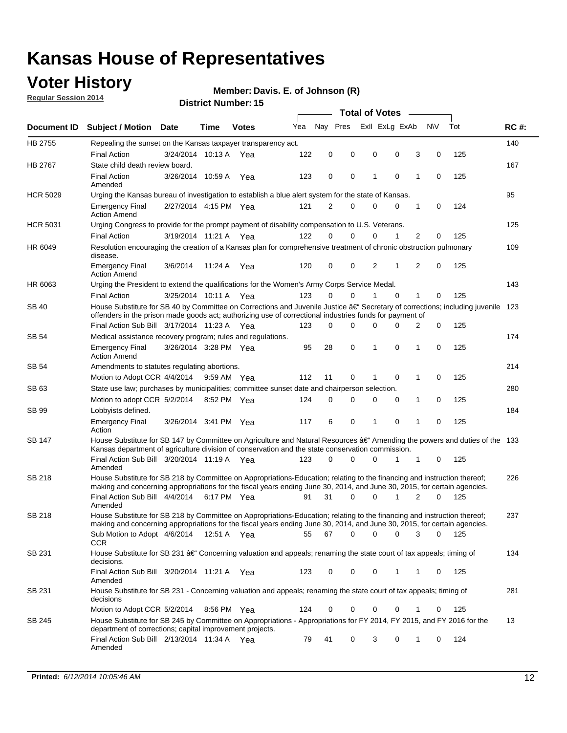### **Voter History**

**Regular Session 2014**

#### **Member: Davis. E. of Johnson (R)**

|                 |                                                                                                                                                                                                                                                      |                                                                                                                                                                                            |             |              |     | <b>Total of Votes</b> |             |   |  |                             |             |       |             |
|-----------------|------------------------------------------------------------------------------------------------------------------------------------------------------------------------------------------------------------------------------------------------------|--------------------------------------------------------------------------------------------------------------------------------------------------------------------------------------------|-------------|--------------|-----|-----------------------|-------------|---|--|-----------------------------|-------------|-------|-------------|
|                 | Document ID Subject / Motion Date                                                                                                                                                                                                                    |                                                                                                                                                                                            | Time        | <b>Votes</b> | Yea | Nay Pres              |             |   |  | Exll ExLg ExAb              | N\V         | Tot   | <b>RC#:</b> |
| HB 2755         | Repealing the sunset on the Kansas taxpayer transparency act.                                                                                                                                                                                        |                                                                                                                                                                                            |             |              |     |                       |             |   |  |                             |             |       | 140         |
|                 | <b>Final Action</b>                                                                                                                                                                                                                                  | 3/24/2014 10:13 A                                                                                                                                                                          |             | Yea          | 122 | 0                     | 0           | 0 |  | 0<br>3                      | 0           | 125   |             |
| HB 2767         | State child death review board.                                                                                                                                                                                                                      |                                                                                                                                                                                            |             |              |     |                       |             |   |  |                             |             |       | 167         |
|                 | <b>Final Action</b><br>Amended                                                                                                                                                                                                                       | 3/26/2014 10:59 A                                                                                                                                                                          |             | Yea          | 123 | 0                     | 0           | 1 |  | $\mathbf 0$<br>1            | 0           | 125   |             |
| <b>HCR 5029</b> | Urging the Kansas bureau of investigation to establish a blue alert system for the state of Kansas.                                                                                                                                                  |                                                                                                                                                                                            |             |              |     |                       |             |   |  |                             |             |       | 95          |
|                 | <b>Emergency Final</b><br><b>Action Amend</b>                                                                                                                                                                                                        | 2/27/2014 4:15 PM Yea                                                                                                                                                                      |             |              | 121 | 2                     | 0           | 0 |  | 0<br>1                      | 0           | 124   |             |
| <b>HCR 5031</b> | Urging Congress to provide for the prompt payment of disability compensation to U.S. Veterans.                                                                                                                                                       |                                                                                                                                                                                            |             |              |     |                       |             |   |  |                             |             |       | 125         |
|                 | <b>Final Action</b>                                                                                                                                                                                                                                  | 3/19/2014 11:21 A Yea                                                                                                                                                                      |             |              | 122 | $\Omega$              | $\Omega$    | 0 |  | $\overline{2}$<br>1         | 0           | 125   |             |
| HR 6049         | Resolution encouraging the creation of a Kansas plan for comprehensive treatment of chronic obstruction pulmonary<br>disease.                                                                                                                        |                                                                                                                                                                                            |             |              |     |                       |             |   |  |                             |             |       | 109         |
|                 | <b>Emergency Final</b><br><b>Action Amend</b>                                                                                                                                                                                                        | 3/6/2014                                                                                                                                                                                   | 11:24 A     | Yea          | 120 | 0                     | 0           | 2 |  | $\overline{2}$<br>1         | $\mathbf 0$ | 125   |             |
| HR 6063         | Urging the President to extend the qualifications for the Women's Army Corps Service Medal.                                                                                                                                                          |                                                                                                                                                                                            |             |              |     |                       |             |   |  |                             |             |       | 143         |
|                 | <b>Final Action</b>                                                                                                                                                                                                                                  | 3/25/2014 10:11 A Yea                                                                                                                                                                      |             |              | 123 | $\Omega$              | $\Omega$    | 1 |  | $\Omega$<br>1               | 0           | 125   |             |
| SB 40           | House Substitute for SB 40 by Committee on Corrections and Juvenile Justice †Secretary of corrections; including juvenile<br>offenders in the prison made goods act; authorizing use of correctional industries funds for payment of                 |                                                                                                                                                                                            |             |              |     |                       |             |   |  |                             |             |       | 123         |
|                 | Final Action Sub Bill 3/17/2014 11:23 A Yea                                                                                                                                                                                                          |                                                                                                                                                                                            |             |              | 123 | 0                     | 0           | 0 |  | <sup>0</sup><br>2           | 0           | 125   |             |
| SB 54           | Medical assistance recovery program; rules and regulations.                                                                                                                                                                                          |                                                                                                                                                                                            |             |              |     |                       |             |   |  |                             |             |       | 174         |
|                 | <b>Emergency Final</b><br><b>Action Amend</b>                                                                                                                                                                                                        | 3/26/2014 3:28 PM Yea                                                                                                                                                                      |             |              | 95  | 28                    | $\mathbf 0$ | 1 |  | $\mathbf 0$<br>1            | 0           | 125   |             |
| SB 54           | Amendments to statutes regulating abortions.                                                                                                                                                                                                         |                                                                                                                                                                                            |             |              |     |                       |             |   |  |                             |             |       | 214         |
|                 |                                                                                                                                                                                                                                                      | 112<br>11<br>0<br>$\mathbf 0$<br>1<br>0<br>125<br>Motion to Adopt CCR 4/4/2014 9:59 AM Yea<br>State use law; purchases by municipalities; committee sunset date and chairperson selection. |             |              |     |                       |             |   |  |                             |             |       |             |
| SB 63           |                                                                                                                                                                                                                                                      |                                                                                                                                                                                            |             |              |     |                       |             |   |  |                             |             |       | 280         |
|                 | Motion to adopt CCR 5/2/2014                                                                                                                                                                                                                         |                                                                                                                                                                                            | 8:52 PM Yea |              | 124 | 0                     | 0           | 0 |  | 1<br>0                      | 0           | 125   |             |
| SB 99           | Lobbyists defined.                                                                                                                                                                                                                                   |                                                                                                                                                                                            |             |              |     |                       |             |   |  |                             |             |       | 184         |
|                 | <b>Emergency Final</b><br>Action                                                                                                                                                                                                                     | 3/26/2014 3:41 PM Yea                                                                                                                                                                      |             |              | 117 | 6                     | 0           | 1 |  | $\mathbf 0$<br>$\mathbf{1}$ | 0           | 125   |             |
| SB 147          | House Substitute for SB 147 by Committee on Agriculture and Natural Resources †Amending the powers and duties of the 133<br>Kansas department of agriculture division of conservation and the state conservation commission.                         |                                                                                                                                                                                            |             |              |     |                       |             |   |  |                             |             |       |             |
|                 | Final Action Sub Bill 3/20/2014 11:19 A Yea<br>Amended                                                                                                                                                                                               |                                                                                                                                                                                            |             |              | 123 | 0                     | $\Omega$    | 0 |  | 1<br>1                      | 0           | 125   |             |
| <b>SB 218</b>   | House Substitute for SB 218 by Committee on Appropriations-Education; relating to the financing and instruction thereof;<br>making and concerning appropriations for the fiscal years ending June 30, 2014, and June 30, 2015, for certain agencies. |                                                                                                                                                                                            |             |              |     |                       |             |   |  |                             |             |       | 226         |
|                 | Final Action Sub Bill 4/4/2014                                                                                                                                                                                                                       |                                                                                                                                                                                            | 6:17 PM Yea |              | 91  | 31                    | $\Omega$    | 0 |  | 1<br>$\overline{2}$         | 0           | 125   |             |
|                 | Amended                                                                                                                                                                                                                                              |                                                                                                                                                                                            |             |              |     |                       |             |   |  |                             |             |       |             |
| SB 218          | House Substitute for SB 218 by Committee on Appropriations-Education; relating to the financing and instruction thereof;                                                                                                                             |                                                                                                                                                                                            |             |              |     |                       |             |   |  |                             |             |       | 237         |
|                 | making and concerning appropriations for the fiscal years ending June 30, 2014, and June 30, 2015, for certain agencies.                                                                                                                             |                                                                                                                                                                                            |             |              |     |                       |             |   |  |                             |             |       |             |
|                 | Sub Motion to Adopt 4/6/2014 12:51 A Yea                                                                                                                                                                                                             |                                                                                                                                                                                            |             |              | 55  | 67                    | 0           | 0 |  | 0<br>3                      | 0           | - 125 |             |
| SB 231          | CCR<br>House Substitute for SB 231 †Concerning valuation and appeals; renaming the state court of tax appeals; timing of<br>decisions.                                                                                                               |                                                                                                                                                                                            |             |              |     |                       |             |   |  |                             |             |       | 134         |
|                 | Final Action Sub Bill 3/20/2014 11:21 A Yea<br>Amended                                                                                                                                                                                               |                                                                                                                                                                                            |             |              | 123 | 0                     | 0           | 0 |  | 1<br>1                      | 0           | 125   |             |
| SB 231          | House Substitute for SB 231 - Concerning valuation and appeals; renaming the state court of tax appeals; timing of<br>decisions                                                                                                                      |                                                                                                                                                                                            |             |              |     |                       |             |   |  |                             |             |       | 281         |
|                 | Motion to Adopt CCR 5/2/2014                                                                                                                                                                                                                         |                                                                                                                                                                                            | 8:56 PM Yea |              | 124 | 0                     | 0           | 0 |  | 0<br>1                      | 0           | 125   |             |
| SB 245          | House Substitute for SB 245 by Committee on Appropriations - Appropriations for FY 2014, FY 2015, and FY 2016 for the<br>department of corrections; capital improvement projects.                                                                    |                                                                                                                                                                                            |             |              |     |                       |             |   |  |                             |             |       | 13          |
|                 | Final Action Sub Bill 2/13/2014 11:34 A Yea<br>Amended                                                                                                                                                                                               |                                                                                                                                                                                            |             |              | 79  | 41                    | 0           | 3 |  | 0<br>1                      | 0           | 124   |             |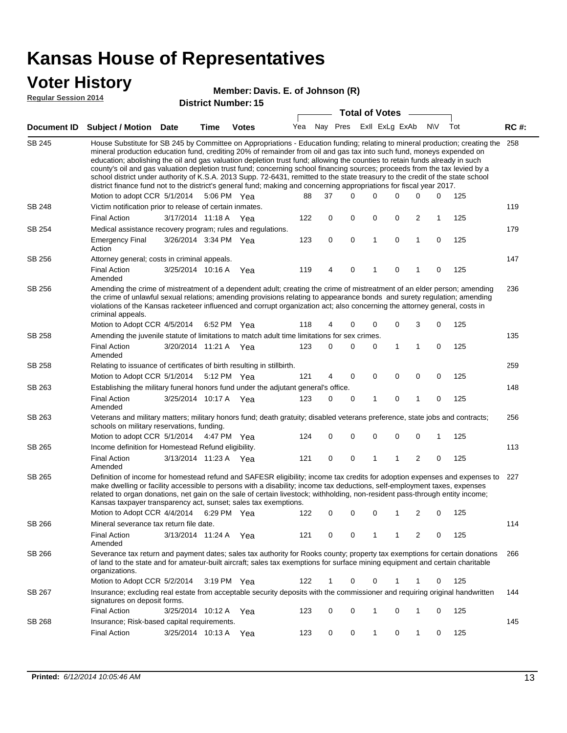### **Voter History**

#### **Member: Davis. E. of Johnson (R)**

**Regular Session 2014**

| <b>District Number: 15</b> |  |  |
|----------------------------|--|--|
|                            |  |  |

|               |                                                                                                                                                                                                                                                                                                                                                                                                                                                                                                                                                                                                                                                                                                                                                                                                               |                       |      | DISTICT MAILIDEL 19 |     |             |          | <b>Total of Votes</b> |                |              |              |     |             |
|---------------|---------------------------------------------------------------------------------------------------------------------------------------------------------------------------------------------------------------------------------------------------------------------------------------------------------------------------------------------------------------------------------------------------------------------------------------------------------------------------------------------------------------------------------------------------------------------------------------------------------------------------------------------------------------------------------------------------------------------------------------------------------------------------------------------------------------|-----------------------|------|---------------------|-----|-------------|----------|-----------------------|----------------|--------------|--------------|-----|-------------|
|               | Document ID Subject / Motion                                                                                                                                                                                                                                                                                                                                                                                                                                                                                                                                                                                                                                                                                                                                                                                  | <b>Date</b>           | Time | <b>Votes</b>        | Yea | Nay Pres    |          |                       | Exll ExLg ExAb |              | <b>NV</b>    | Tot | <b>RC#:</b> |
| <b>SB 245</b> | House Substitute for SB 245 by Committee on Appropriations - Education funding; relating to mineral production; creating the<br>mineral production education fund, crediting 20% of remainder from oil and gas tax into such fund, moneys expended on<br>education; abolishing the oil and gas valuation depletion trust fund; allowing the counties to retain funds already in such<br>county's oil and gas valuation depletion trust fund; concerning school financing sources; proceeds from the tax levied by a<br>school district under authority of K.S.A. 2013 Supp. 72-6431, remitted to the state treasury to the credit of the state school<br>district finance fund not to the district's general fund; making and concerning appropriations for fiscal year 2017.<br>Motion to adopt CCR 5/1/2014 |                       |      | 5:06 PM Yea         | 88  | 37          | $\Omega$ | 0                     | $\Omega$       | 0            | 0            | 125 | 258         |
| SB 248        | Victim notification prior to release of certain inmates.                                                                                                                                                                                                                                                                                                                                                                                                                                                                                                                                                                                                                                                                                                                                                      |                       |      |                     |     |             |          |                       |                |              |              |     | 119         |
|               | <b>Final Action</b>                                                                                                                                                                                                                                                                                                                                                                                                                                                                                                                                                                                                                                                                                                                                                                                           | 3/17/2014 11:18 A Yea |      |                     | 122 | 0           | 0        | 0                     | 0              | 2            | $\mathbf{1}$ | 125 |             |
| SB 254        | Medical assistance recovery program; rules and regulations.                                                                                                                                                                                                                                                                                                                                                                                                                                                                                                                                                                                                                                                                                                                                                   |                       |      |                     |     |             |          |                       |                |              |              |     | 179         |
|               | <b>Emergency Final</b><br>Action                                                                                                                                                                                                                                                                                                                                                                                                                                                                                                                                                                                                                                                                                                                                                                              | 3/26/2014 3:34 PM Yea |      |                     | 123 | $\mathbf 0$ | 0        | 1                     | 0              | $\mathbf{1}$ | $\mathbf 0$  | 125 |             |
| SB 256        | Attorney general; costs in criminal appeals.                                                                                                                                                                                                                                                                                                                                                                                                                                                                                                                                                                                                                                                                                                                                                                  |                       |      |                     |     |             |          |                       |                |              |              |     | 147         |
|               | <b>Final Action</b><br>Amended                                                                                                                                                                                                                                                                                                                                                                                                                                                                                                                                                                                                                                                                                                                                                                                | 3/25/2014 10:16 A     |      | Yea                 | 119 | 4           | 0        | 1                     | 0              | 1            | 0            | 125 |             |
| SB 256        | Amending the crime of mistreatment of a dependent adult; creating the crime of mistreatment of an elder person; amending<br>the crime of unlawful sexual relations; amending provisions relating to appearance bonds and surety regulation; amending<br>violations of the Kansas racketeer influenced and corrupt organization act; also concerning the attorney general, costs in<br>criminal appeals.                                                                                                                                                                                                                                                                                                                                                                                                       |                       |      |                     |     |             |          |                       |                |              |              |     | 236         |
|               | Motion to Adopt CCR 4/5/2014 6:52 PM Yea                                                                                                                                                                                                                                                                                                                                                                                                                                                                                                                                                                                                                                                                                                                                                                      |                       |      |                     | 118 | 4           | 0        | 0                     | 0              | 3            | 0            | 125 |             |
| <b>SB 258</b> | Amending the juvenile statute of limitations to match adult time limitations for sex crimes.<br><b>Final Action</b><br>Amended                                                                                                                                                                                                                                                                                                                                                                                                                                                                                                                                                                                                                                                                                | 3/20/2014 11:21 A Yea |      |                     | 123 | 0           | 0        | 0                     | 1              | 1            | 0            | 125 | 135         |
| SB 258        | Relating to issuance of certificates of birth resulting in stillbirth.                                                                                                                                                                                                                                                                                                                                                                                                                                                                                                                                                                                                                                                                                                                                        |                       |      |                     |     |             |          |                       |                |              |              |     | 259         |
|               | Motion to Adopt CCR 5/1/2014 5:12 PM Yea                                                                                                                                                                                                                                                                                                                                                                                                                                                                                                                                                                                                                                                                                                                                                                      |                       |      |                     | 121 | 4           | 0        | 0                     | $\mathbf 0$    | 0            | 0            | 125 |             |
| SB 263        | Establishing the military funeral honors fund under the adjutant general's office.                                                                                                                                                                                                                                                                                                                                                                                                                                                                                                                                                                                                                                                                                                                            |                       |      |                     |     |             |          |                       |                |              |              |     | 148         |
|               | <b>Final Action</b><br>Amended                                                                                                                                                                                                                                                                                                                                                                                                                                                                                                                                                                                                                                                                                                                                                                                | 3/25/2014 10:17 A Yea |      |                     | 123 | 0           | 0        | 1                     | 0              | $\mathbf{1}$ | 0            | 125 |             |
| SB 263        | Veterans and military matters; military honors fund; death gratuity; disabled veterans preference, state jobs and contracts;<br>schools on military reservations, funding.                                                                                                                                                                                                                                                                                                                                                                                                                                                                                                                                                                                                                                    |                       |      |                     |     |             |          |                       |                |              |              |     | 256         |
|               | Motion to adopt CCR 5/1/2014 4:47 PM Yea                                                                                                                                                                                                                                                                                                                                                                                                                                                                                                                                                                                                                                                                                                                                                                      |                       |      |                     | 124 | 0           | 0        | 0                     | $\mathbf 0$    | 0            | 1            | 125 |             |
| SB 265        | Income definition for Homestead Refund eligibility.                                                                                                                                                                                                                                                                                                                                                                                                                                                                                                                                                                                                                                                                                                                                                           |                       |      |                     |     |             |          |                       |                |              |              |     | 113         |
|               | <b>Final Action</b><br>Amended                                                                                                                                                                                                                                                                                                                                                                                                                                                                                                                                                                                                                                                                                                                                                                                | 3/13/2014 11:23 A Yea |      |                     | 121 | $\mathbf 0$ | 0        | 1                     | 1              | 2            | 0            | 125 |             |
| SB 265        | Definition of income for homestead refund and SAFESR eligibility; income tax credits for adoption expenses and expenses to<br>make dwelling or facility accessible to persons with a disability; income tax deductions, self-employment taxes, expenses<br>related to organ donations, net gain on the sale of certain livestock; withholding, non-resident pass-through entity income;<br>Kansas taxpayer transparency act, sunset; sales tax exemptions.                                                                                                                                                                                                                                                                                                                                                    |                       |      |                     |     |             |          |                       |                |              |              |     | 227         |
|               | Motion to Adopt CCR 4/4/2014                                                                                                                                                                                                                                                                                                                                                                                                                                                                                                                                                                                                                                                                                                                                                                                  |                       |      | 6:29 PM Yea         | 122 | 0           | 0        | 0                     | 1              | 2            | 0            | 125 |             |
| SB 266        | Mineral severance tax return file date.                                                                                                                                                                                                                                                                                                                                                                                                                                                                                                                                                                                                                                                                                                                                                                       |                       |      |                     |     |             |          |                       |                |              |              |     | 114         |
|               | <b>Final Action</b><br>Amended                                                                                                                                                                                                                                                                                                                                                                                                                                                                                                                                                                                                                                                                                                                                                                                | 3/13/2014 11:24 A     |      | Yea                 | 121 | 0           | 0        | 1                     | 1              | 2            | 0            | 125 |             |
| SB 266        | Severance tax return and payment dates; sales tax authority for Rooks county; property tax exemptions for certain donations<br>of land to the state and for amateur-built aircraft; sales tax exemptions for surface mining equipment and certain charitable<br>organizations.                                                                                                                                                                                                                                                                                                                                                                                                                                                                                                                                |                       |      |                     |     |             |          |                       |                |              |              |     | 266         |
|               | Motion to Adopt CCR 5/2/2014                                                                                                                                                                                                                                                                                                                                                                                                                                                                                                                                                                                                                                                                                                                                                                                  |                       |      | 3:19 PM Yea         | 122 | 1           | 0        | 0                     | 1              | 1            | 0            | 125 |             |
| SB 267        | Insurance; excluding real estate from acceptable security deposits with the commissioner and requiring original handwritten<br>signatures on deposit forms.                                                                                                                                                                                                                                                                                                                                                                                                                                                                                                                                                                                                                                                   |                       |      |                     |     |             |          |                       |                |              |              |     | 144         |
|               | <b>Final Action</b>                                                                                                                                                                                                                                                                                                                                                                                                                                                                                                                                                                                                                                                                                                                                                                                           | 3/25/2014 10:12 A     |      | Yea                 | 123 | 0           | 0        | 1                     | 0              | 1            | 0            | 125 |             |
| SB 268        | Insurance; Risk-based capital requirements.                                                                                                                                                                                                                                                                                                                                                                                                                                                                                                                                                                                                                                                                                                                                                                   |                       |      |                     |     |             |          |                       |                |              |              |     | 145         |
|               | <b>Final Action</b>                                                                                                                                                                                                                                                                                                                                                                                                                                                                                                                                                                                                                                                                                                                                                                                           | 3/25/2014 10:13 A     |      | Yea                 | 123 | 0           | 0        | 1                     | 0              | 1            | 0            | 125 |             |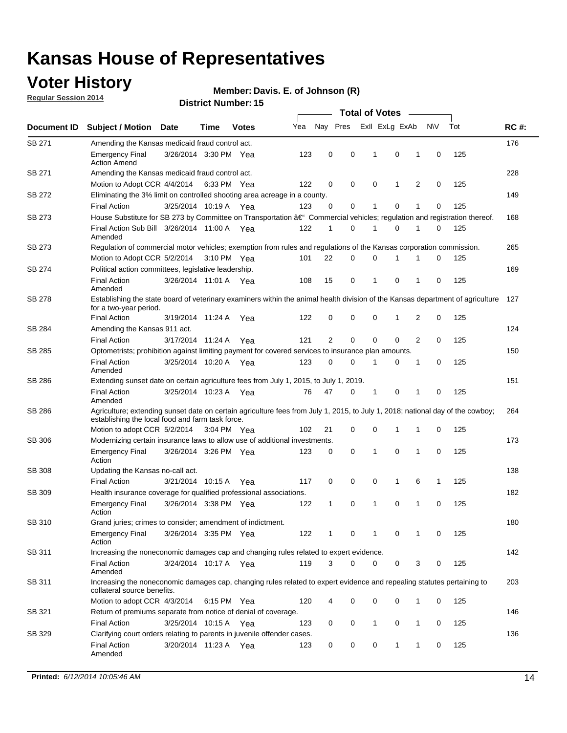### **Voter History**

**Regular Session 2014**

#### **Member: Davis. E. of Johnson (R)**

|               |                                                                                                                                                                                    |                       |      |              |     |                |             | <b>Total of Votes</b> |              |   |             |     |             |
|---------------|------------------------------------------------------------------------------------------------------------------------------------------------------------------------------------|-----------------------|------|--------------|-----|----------------|-------------|-----------------------|--------------|---|-------------|-----|-------------|
| Document ID   | <b>Subject / Motion Date</b>                                                                                                                                                       |                       | Time | <b>Votes</b> | Yea | Nay Pres       |             | Exll ExLg ExAb        |              |   | N\V         | Tot | <b>RC#:</b> |
| SB 271        | Amending the Kansas medicaid fraud control act.                                                                                                                                    |                       |      |              |     |                |             |                       |              |   |             |     | 176         |
|               | <b>Emergency Final</b><br><b>Action Amend</b>                                                                                                                                      | 3/26/2014 3:30 PM Yea |      |              | 123 | 0              | 0           | 1                     | 0            | 1 | $\mathbf 0$ | 125 |             |
| SB 271        | Amending the Kansas medicaid fraud control act.                                                                                                                                    |                       |      |              |     |                |             |                       |              |   |             |     | 228         |
|               | Motion to Adopt CCR 4/4/2014 6:33 PM Yea                                                                                                                                           |                       |      |              | 122 | 0              | 0           | 0                     | 1            | 2 | 0           | 125 |             |
| SB 272        | Eliminating the 3% limit on controlled shooting area acreage in a county.                                                                                                          |                       |      |              |     |                |             |                       |              |   |             |     | 149         |
|               | <b>Final Action</b>                                                                                                                                                                | 3/25/2014 10:19 A Yea |      |              | 123 | 0              | 0           | 1                     | 0            | 1 | $\mathbf 0$ | 125 |             |
| SB 273        | House Substitute for SB 273 by Committee on Transportation †Commercial vehicles; regulation and registration thereof.                                                              |                       |      |              |     |                |             |                       |              |   |             |     | 168         |
|               | Final Action Sub Bill 3/26/2014 11:00 A Yea<br>Amended                                                                                                                             |                       |      |              | 122 | 1              | 0           | 1                     | 0            | 1 | 0           | 125 |             |
| SB 273        | Regulation of commercial motor vehicles; exemption from rules and regulations of the Kansas corporation commission.                                                                |                       |      |              |     |                |             |                       |              |   |             |     | 265         |
|               | Motion to Adopt CCR 5/2/2014 3:10 PM Yea                                                                                                                                           |                       |      |              | 101 | 22             | 0           | 0                     | 1            | 1 | 0           | 125 |             |
| SB 274        | Political action committees, legislative leadership.                                                                                                                               |                       |      |              |     |                |             |                       |              |   |             |     | 169         |
|               | <b>Final Action</b><br>Amended                                                                                                                                                     | 3/26/2014 11:01 A Yea |      |              | 108 | 15             | 0           | -1                    | 0            | 1 | 0           | 125 |             |
| <b>SB 278</b> | Establishing the state board of veterinary examiners within the animal health division of the Kansas department of agriculture<br>for a two-year period.                           |                       |      |              |     |                |             |                       |              |   |             |     | 127         |
|               | <b>Final Action</b>                                                                                                                                                                | 3/19/2014 11:24 A     |      | Yea          | 122 | 0              | 0           | 0                     | 1            | 2 | 0           | 125 |             |
| SB 284        | Amending the Kansas 911 act.                                                                                                                                                       |                       |      |              |     |                |             |                       |              |   |             |     | 124         |
|               | <b>Final Action</b>                                                                                                                                                                | 3/17/2014 11:24 A     |      | Yea          | 121 | $\overline{2}$ | $\mathbf 0$ | $\mathbf 0$           | $\mathbf 0$  | 2 | 0           | 125 |             |
| SB 285        | Optometrists; prohibition against limiting payment for covered services to insurance plan amounts.                                                                                 |                       |      |              |     |                |             |                       |              |   |             |     | 150         |
|               | <b>Final Action</b><br>Amended                                                                                                                                                     | 3/25/2014 10:20 A     |      | Yea          | 123 | 0              | 0           | $\mathbf{1}$          | 0            | 1 | 0           | 125 |             |
| SB 286        | Extending sunset date on certain agriculture fees from July 1, 2015, to July 1, 2019.                                                                                              |                       |      |              |     |                |             |                       |              |   |             |     | 151         |
|               | <b>Final Action</b><br>Amended                                                                                                                                                     | 3/25/2014 10:23 A Yea |      |              | 76  | 47             | 0           | $\mathbf{1}$          | 0            | 1 | 0           | 125 |             |
| SB 286        | Agriculture; extending sunset date on certain agriculture fees from July 1, 2015, to July 1, 2018; national day of the cowboy;<br>establishing the local food and farm task force. |                       |      |              |     |                |             |                       |              |   |             |     | 264         |
|               | Motion to adopt CCR 5/2/2014 3:04 PM Yea                                                                                                                                           |                       |      |              | 102 | 21             | 0           | 0                     | 1            | 1 | 0           | 125 |             |
| SB 306        | Modernizing certain insurance laws to allow use of additional investments.                                                                                                         |                       |      |              |     |                |             |                       |              |   |             |     | 173         |
|               | <b>Emergency Final</b><br>Action                                                                                                                                                   | 3/26/2014 3:26 PM Yea |      |              | 123 | 0              | 0           | 1                     | $\mathbf 0$  | 1 | 0           | 125 |             |
| <b>SB 308</b> | Updating the Kansas no-call act.                                                                                                                                                   |                       |      |              |     |                |             |                       |              |   |             |     | 138         |
|               | <b>Final Action</b>                                                                                                                                                                | 3/21/2014 10:15 A     |      | Yea          | 117 | 0              | 0           | 0                     | $\mathbf{1}$ | 6 | 1           | 125 |             |
| SB 309        | Health insurance coverage for qualified professional associations.                                                                                                                 |                       |      |              |     |                |             |                       |              |   |             |     | 182         |
|               | <b>Emergency Final</b><br>Action                                                                                                                                                   | 3/26/2014 3:38 PM Yea |      |              | 122 | 1              | 0           | 1                     | 0            | 1 | 0           | 125 |             |
| SB 310        | Grand juries; crimes to consider; amendment of indictment.                                                                                                                         |                       |      |              |     |                |             |                       |              |   |             |     | 180         |
|               | <b>Emergency Final</b><br>Action                                                                                                                                                   | 3/26/2014 3:35 PM Yea |      |              | 122 | 1              | 0           | 1                     | 0            | 1 | 0           | 125 |             |
| SB 311        | Increasing the noneconomic damages cap and changing rules related to expert evidence.                                                                                              |                       |      |              |     |                |             |                       |              |   |             |     | 142         |
|               | <b>Final Action</b><br>Amended                                                                                                                                                     | 3/24/2014 10:17 A Yea |      |              | 119 | 3              | $\Omega$    | 0                     | 0            | 3 | 0           | 125 |             |
| SB 311        | Increasing the noneconomic damages cap, changing rules related to expert evidence and repealing statutes pertaining to<br>collateral source benefits.                              |                       |      |              |     |                |             |                       |              |   |             |     | 203         |
|               | Motion to adopt CCR 4/3/2014 6:15 PM Yea                                                                                                                                           |                       |      |              | 120 | 4              | 0           | 0                     | 0            | 1 | 0           | 125 |             |
| SB 321        | Return of premiums separate from notice of denial of coverage.                                                                                                                     |                       |      |              |     |                |             |                       |              |   |             |     | 146         |
|               | <b>Final Action</b>                                                                                                                                                                | 3/25/2014 10:15 A Yea |      |              | 123 | 0              | 0           | 1                     | 0            | 1 | 0           | 125 |             |
| SB 329        | Clarifying court orders relating to parents in juvenile offender cases.<br><b>Final Action</b><br>Amended                                                                          | 3/20/2014 11:23 A Yea |      |              | 123 | 0              | 0           | 0                     | 1            | 1 | 0           | 125 | 136         |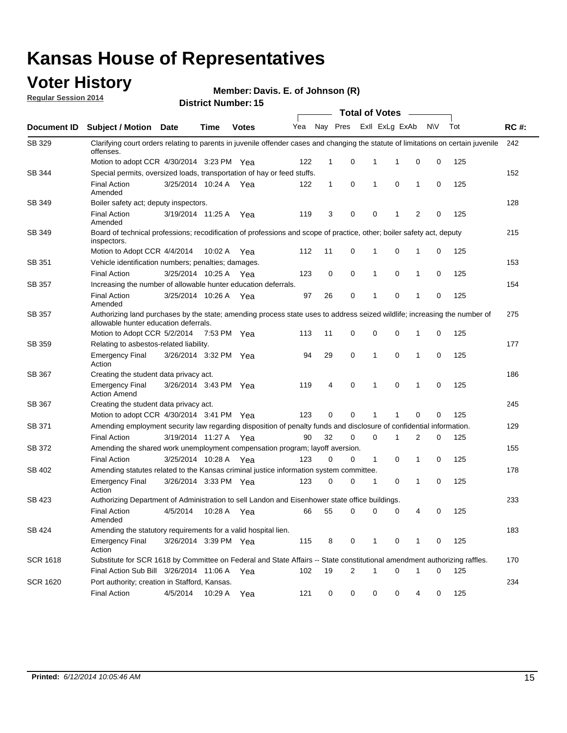### **Voter History**

**Regular Session 2014**

#### **Member: Davis. E. of Johnson (R)**

|                 | <b>Total of Votes</b>                                                                                                                                              |                       |             |              |     |              |             |                |             |   |           |     |             |
|-----------------|--------------------------------------------------------------------------------------------------------------------------------------------------------------------|-----------------------|-------------|--------------|-----|--------------|-------------|----------------|-------------|---|-----------|-----|-------------|
| Document ID     | <b>Subject / Motion</b>                                                                                                                                            | Date                  | <b>Time</b> | <b>Votes</b> | Yea | Nay Pres     |             | Exll ExLg ExAb |             |   | <b>NV</b> | Tot | <b>RC#:</b> |
| SB 329          | Clarifying court orders relating to parents in juvenile offender cases and changing the statute of limitations on certain juvenile<br>offenses.                    |                       |             |              |     |              |             |                |             |   |           |     | 242         |
|                 | Motion to adopt CCR 4/30/2014 3:23 PM Yea                                                                                                                          |                       |             |              | 122 | 1            | 0           | 1              | 1           | 0 | 0         | 125 |             |
| SB 344          | Special permits, oversized loads, transportation of hay or feed stuffs.                                                                                            |                       |             |              |     |              |             |                |             |   |           |     | 152         |
|                 | <b>Final Action</b><br>Amended                                                                                                                                     | 3/25/2014 10:24 A     |             | Yea          | 122 | $\mathbf{1}$ | 0           | 1              | 0           | 1 | 0         | 125 |             |
| SB 349          | Boiler safety act; deputy inspectors.                                                                                                                              |                       |             |              |     |              |             |                |             |   |           |     | 128         |
|                 | <b>Final Action</b><br>Amended                                                                                                                                     | 3/19/2014 11:25 A     |             | Yea          | 119 | 3            | 0           | $\mathbf 0$    | 1           | 2 | 0         | 125 |             |
| SB 349          | Board of technical professions; recodification of professions and scope of practice, other; boiler safety act, deputy<br>inspectors.                               |                       |             |              |     |              |             |                |             |   |           |     | 215         |
|                 | Motion to Adopt CCR 4/4/2014                                                                                                                                       |                       | 10:02 A     | Yea          | 112 | 11           | 0           | 1              | 0           | 1 | 0         | 125 |             |
| SB 351          | Vehicle identification numbers; penalties; damages.                                                                                                                |                       |             |              |     |              |             |                |             |   |           |     | 153         |
|                 | <b>Final Action</b>                                                                                                                                                | 3/25/2014 10:25 A     |             | Yea          | 123 | 0            | 0           | 1              | $\mathbf 0$ | 1 | 0         | 125 |             |
| SB 357          | Increasing the number of allowable hunter education deferrals.                                                                                                     |                       |             |              |     |              |             |                |             |   |           |     | 154         |
|                 | <b>Final Action</b><br>Amended                                                                                                                                     | 3/25/2014 10:26 A     |             | Yea          | 97  | 26           | 0           | 1              | $\mathbf 0$ | 1 | 0         | 125 |             |
| SB 357          | Authorizing land purchases by the state; amending process state uses to address seized wildlife; increasing the number of<br>allowable hunter education deferrals. |                       |             |              |     |              |             |                |             |   |           |     | 275         |
|                 | Motion to Adopt CCR 5/2/2014                                                                                                                                       |                       | 7:53 PM Yea |              | 113 | 11           | 0           | 0              | 0           | 1 | 0         | 125 |             |
| SB 359          | Relating to asbestos-related liability.                                                                                                                            |                       |             |              |     |              |             |                |             |   |           |     | 177         |
|                 | <b>Emergency Final</b><br>Action                                                                                                                                   | 3/26/2014 3:32 PM Yea |             |              | 94  | 29           | 0           | 1              | $\mathbf 0$ | 1 | 0         | 125 |             |
| SB 367          | Creating the student data privacy act.                                                                                                                             |                       |             |              |     |              |             |                |             |   |           |     | 186         |
|                 | <b>Emergency Final</b><br><b>Action Amend</b>                                                                                                                      | 3/26/2014 3:43 PM Yea |             |              | 119 | 4            | $\mathbf 0$ | 1              | $\mathbf 0$ | 1 | 0         | 125 |             |
| SB 367          | Creating the student data privacy act.                                                                                                                             |                       |             |              |     |              |             |                |             |   |           |     | 245         |
|                 | Motion to adopt CCR 4/30/2014 3:41 PM Yea                                                                                                                          |                       |             |              | 123 | 0            | 0           | 1              | 1           | 0 | 0         | 125 |             |
| SB 371          | Amending employment security law regarding disposition of penalty funds and disclosure of confidential information.                                                |                       |             |              |     |              |             |                |             |   |           |     | 129         |
|                 | <b>Final Action</b>                                                                                                                                                | 3/19/2014 11:27 A Yea |             |              | 90  | 32           | 0           | $\mathbf 0$    | 1           | 2 | 0         | 125 |             |
| SB 372          | Amending the shared work unemployment compensation program; layoff aversion.                                                                                       |                       |             |              |     |              |             |                |             |   |           |     | 155         |
|                 | <b>Final Action</b>                                                                                                                                                | 3/25/2014 10:28 A     |             | Yea          | 123 | 0            | 0           | $\mathbf{1}$   | $\mathbf 0$ | 1 | 0         | 125 |             |
| SB 402          | Amending statutes related to the Kansas criminal justice information system committee.                                                                             |                       |             |              |     |              |             |                |             |   |           |     | 178         |
|                 | <b>Emergency Final</b><br>Action                                                                                                                                   | 3/26/2014 3:33 PM Yea |             |              | 123 | 0            | 0           | 1              | 0           | 1 | 0         | 125 |             |
| <b>SB 423</b>   | Authorizing Department of Administration to sell Landon and Eisenhower state office buildings.                                                                     |                       |             |              |     |              |             |                |             |   |           |     | 233         |
|                 | <b>Final Action</b><br>Amended                                                                                                                                     | 4/5/2014              | 10:28 A     | Yea          | 66  | 55           | 0           | 0              | 0           | 4 | 0         | 125 |             |
| SB 424          | Amending the statutory requirements for a valid hospital lien.                                                                                                     |                       |             |              |     |              |             |                |             |   |           |     | 183         |
|                 | <b>Emergency Final</b><br>Action                                                                                                                                   | 3/26/2014 3:39 PM Yea |             |              | 115 | 8            | 0           | 1              | 0           | 1 | 0         | 125 |             |
| SCR 1618        | Substitute for SCR 1618 by Committee on Federal and State Affairs -- State constitutional amendment authorizing raffles.                                           |                       |             |              |     |              |             |                |             |   |           |     | 170         |
|                 | Final Action Sub Bill 3/26/2014 11:06 A Yea                                                                                                                        |                       |             |              | 102 | 19           | 2           | 1              | $\mathbf 0$ | 1 | 0         | 125 |             |
| <b>SCR 1620</b> | Port authority; creation in Stafford, Kansas.                                                                                                                      |                       |             |              |     |              |             |                |             |   |           |     | 234         |
|                 | <b>Final Action</b>                                                                                                                                                | 4/5/2014              | 10:29 A     | Yea          | 121 | 0            | 0           | 0              | 0           | 4 | 0         | 125 |             |